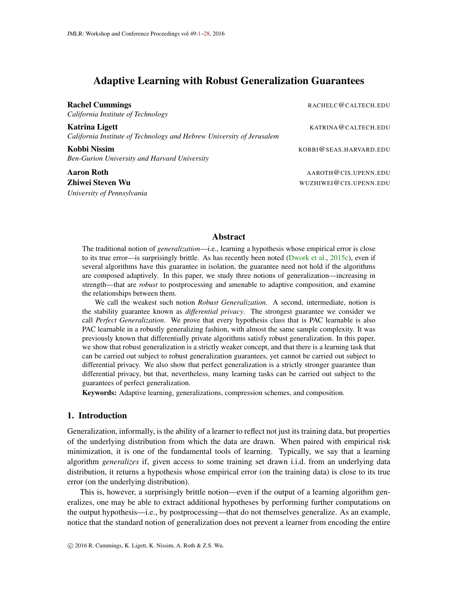# <span id="page-0-0"></span>Adaptive Learning with Robust Generalization Guarantees

Rachel Cummings RACHELC@CALTECH.EDU *California Institute of Technology* Katrina Ligett **Katrina Ligett** KATRINA **CALTECH.EDU** *California Institute of Technology and Hebrew University of Jerusalem* Kobbi Nissim KOBBI@SEAS.HARVARD.EDU *Ben-Gurion University and Harvard University* **Aaron Roth Abraham Administration AAROTH@CIS.UPENN.EDU Zhiwei Steven Wu WUZHIWEI@CIS.UPENN.EDU** 

Abstract

The traditional notion of *generalization*—i.e., learning a hypothesis whose empirical error is close to its true error—is surprisingly brittle. As has recently been noted [\(Dwork et al.,](#page-25-0) [2015c\)](#page-25-0), even if several algorithms have this guarantee in isolation, the guarantee need not hold if the algorithms are composed adaptively. In this paper, we study three notions of generalization—increasing in strength—that are *robust* to postprocessing and amenable to adaptive composition, and examine the relationships between them.

We call the weakest such notion *Robust Generalization*. A second, intermediate, notion is the stability guarantee known as *differential privacy*. The strongest guarantee we consider we call *Perfect Generalization*. We prove that every hypothesis class that is PAC learnable is also PAC learnable in a robustly generalizing fashion, with almost the same sample complexity. It was previously known that differentially private algorithms satisfy robust generalization. In this paper, we show that robust generalization is a strictly weaker concept, and that there is a learning task that can be carried out subject to robust generalization guarantees, yet cannot be carried out subject to differential privacy. We also show that perfect generalization is a strictly stronger guarantee than differential privacy, but that, nevertheless, many learning tasks can be carried out subject to the guarantees of perfect generalization.

Keywords: Adaptive learning, generalizations, compression schemes, and composition.

# 1. Introduction

*University of Pennsylvania*

Generalization, informally, is the ability of a learner to reflect not just its training data, but properties of the underlying distribution from which the data are drawn. When paired with empirical risk minimization, it is one of the fundamental tools of learning. Typically, we say that a learning algorithm *generalizes* if, given access to some training set drawn i.i.d. from an underlying data distribution, it returns a hypothesis whose empirical error (on the training data) is close to its true error (on the underlying distribution).

This is, however, a surprisingly brittle notion—even if the output of a learning algorithm generalizes, one may be able to extract additional hypotheses by performing further computations on the output hypothesis—i.e., by postprocessing—that do not themselves generalize. As an example, notice that the standard notion of generalization does not prevent a learner from encoding the entire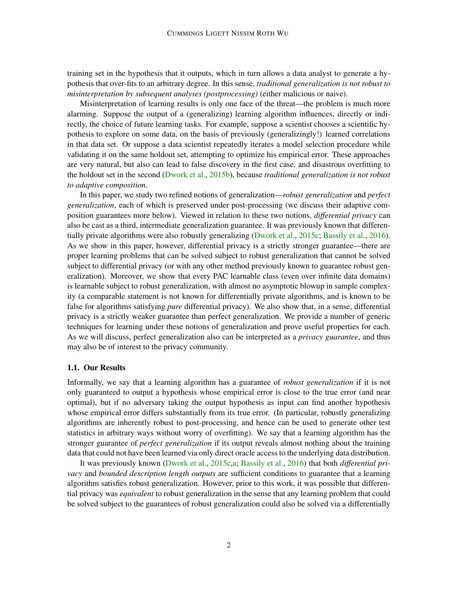training set in the hypothesis that it outputs, which in turn allows a data analyst to generate a hypothesis that over-fits to an arbitrary degree. In this sense, *traditional generalization is not robust to misinterpretation by subsequent analyses (postprocessing)* (either malicious or naive).

Misinterpretation of learning results is only one face of the threat—the problem is much more alarming. Suppose the output of a (generalizing) learning algorithm influences, directly or indirectly, the choice of future learning tasks. For example, suppose a scientist chooses a scientific hypothesis to explore on some data, on the basis of previously (generalizingly!) learned correlations in that data set. Or suppose a data scientist repeatedly iterates a model selection procedure while validating it on the same holdout set, attempting to optimize his empirical error. These approaches are very natural, but also can lead to false discovery in the first case, and disastrous overfitting to the holdout set in the second [\(Dwork et al.,](#page-25-1) [2015b\)](#page-25-1), because *traditional generalization is not robust to adaptive composition*.

In this paper, we study two refined notions of generalization—*robust generalization* and *perfect generalization*, each of which is preserved under post-processing (we discuss their adaptive composition guarantees more below). Viewed in relation to these two notions, *differential privacy* can also be cast as a third, intermediate generalization guarantee. It was previously known that differentially private algorithms were also robustly generalizing [\(Dwork et al.,](#page-25-0) [2015c;](#page-25-0) [Bassily et al.,](#page-24-0) [2016\)](#page-24-0). As we show in this paper, however, differential privacy is a strictly stronger guarantee—there are proper learning problems that can be solved subject to robust generalization that cannot be solved subject to differential privacy (or with any other method previously known to guarantee robust generalization). Moreover, we show that every PAC learnable class (even over infinite data domains) is learnable subject to robust generalization, with almost no asymptotic blowup in sample complexity (a comparable statement is not known for differentially private algorithms, and is known to be false for algorithms satisfying *pure* differential privacy). We also show that, in a sense, differential privacy is a strictly weaker guarantee than perfect generalization. We provide a number of generic techniques for learning under these notions of generalization and prove useful properties for each. As we will discuss, perfect generalization also can be interpreted as a *privacy guarantee*, and thus may also be of interest to the privacy community.

# 1.1. Our Results

Informally, we say that a learning algorithm has a guarantee of *robust generalization* if it is not only guaranteed to output a hypothesis whose empirical error is close to the true error (and near optimal), but if no adversary taking the output hypothesis as input can find another hypothesis whose empirical error differs substantially from its true error. (In particular, robustly generalizing algorithms are inherently robust to post-processing, and hence can be used to generate other test statistics in arbitrary ways without worry of overfitting). We say that a learning algorithm has the stronger guarantee of *perfect generalization* if its output reveals almost nothing about the training data that could not have been learned via only direct oracle access to the underlying data distribution.

It was previously known [\(Dwork et al.,](#page-25-0) [2015c](#page-25-0)[,a;](#page-25-2) [Bassily et al.,](#page-24-0) [2016\)](#page-24-0) that both *differential privacy* and *bounded description length outputs* are sufficient conditions to guarantee that a learning algorithm satisfies robust generalization. However, prior to this work, it was possible that differential privacy was *equivalent* to robust generalization in the sense that any learning problem that could be solved subject to the guarantees of robust generalization could also be solved via a differentially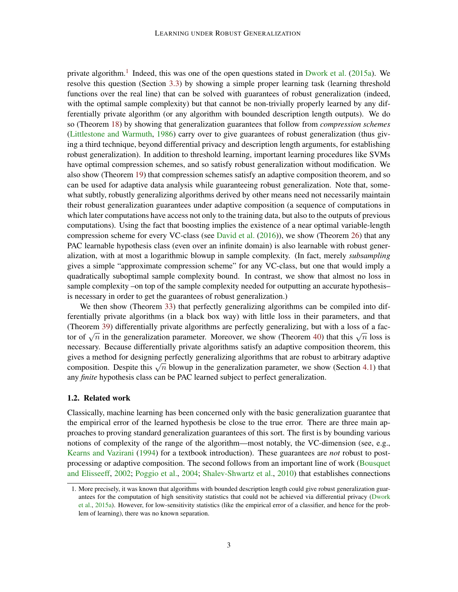private algorithm.<sup>[1](#page-2-0)</sup> Indeed, this was one of the open questions stated in [Dwork et al.](#page-25-2) [\(2015a\)](#page-25-2). We resolve this question (Section [3.3\)](#page-11-0) by showing a simple proper learning task (learning threshold functions over the real line) that can be solved with guarantees of robust generalization (indeed, with the optimal sample complexity) but that cannot be non-trivially properly learned by any differentially private algorithm (or any algorithm with bounded description length outputs). We do so (Theorem [18\)](#page-9-0) by showing that generalization guarantees that follow from *compression schemes* [\(Littlestone and Warmuth,](#page-26-0) [1986\)](#page-26-0) carry over to give guarantees of robust generalization (thus giving a third technique, beyond differential privacy and description length arguments, for establishing robust generalization). In addition to threshold learning, important learning procedures like SVMs have optimal compression schemes, and so satisfy robust generalization without modification. We also show (Theorem [19\)](#page-10-0) that compression schemes satisfy an adaptive composition theorem, and so can be used for adaptive data analysis while guaranteeing robust generalization. Note that, somewhat subtly, robustly generalizing algorithms derived by other means need not necessarily maintain their robust generalization guarantees under adaptive composition (a sequence of computations in which later computations have access not only to the training data, but also to the outputs of previous computations). Using the fact that boosting implies the existence of a near optimal variable-length compression scheme for every VC-class (see [David et al.](#page-25-3)  $(2016)$ ), we show (Theorem [26\)](#page-12-0) that any PAC learnable hypothesis class (even over an infinite domain) is also learnable with robust generalization, with at most a logarithmic blowup in sample complexity. (In fact, merely *subsampling* gives a simple "approximate compression scheme" for any VC-class, but one that would imply a quadratically suboptimal sample complexity bound. In contrast, we show that almost no loss in sample complexity –on top of the sample complexity needed for outputting an accurate hypothesis– is necessary in order to get the guarantees of robust generalization.)

We then show (Theorem [33\)](#page-17-0) that perfectly generalizing algorithms can be compiled into differentially private algorithms (in a black box way) with little loss in their parameters, and that (Theorem [39\)](#page-21-0) differentially private algorithms are perfectly generalizing, but with a loss of a fac-Theorem 39) unterentially private algorithms are perfectly generalizing, but with a loss of a factor of  $\sqrt{n}$  in the generalization parameter. Moreover, we show (Theorem [40\)](#page-22-0) that this  $\sqrt{n}$  loss is necessary. Because differentially private algorithms satisfy an adaptive composition theorem, this gives a method for designing perfectly generalizing algorithms that are robust to arbitrary adaptive gives a include for designing perfectly generalizing algorithms that are robust to arbitrary adaptive composition. Despite this  $\sqrt{n}$  blowup in the generalization parameter, we show (Section [4.1\)](#page-13-0) that any *finite* hypothesis class can be PAC learned subject to perfect generalization.

#### 1.2. Related work

Classically, machine learning has been concerned only with the basic generalization guarantee that the empirical error of the learned hypothesis be close to the true error. There are three main approaches to proving standard generalization guarantees of this sort. The first is by bounding various notions of complexity of the range of the algorithm—most notably, the VC-dimension (see, e.g., [Kearns and Vazirani](#page-26-1) [\(1994\)](#page-26-1) for a textbook introduction). These guarantees are *not* robust to postprocessing or adaptive composition. The second follows from an important line of work [\(Bousquet](#page-25-4) [and Elisseeff,](#page-25-4) [2002;](#page-25-4) [Poggio et al.,](#page-26-2) [2004;](#page-26-2) [Shalev-Shwartz et al.,](#page-26-3) [2010\)](#page-26-3) that establishes connections

<span id="page-2-0"></span><sup>1.</sup> More precisely, it was known that algorithms with bounded description length could give robust generalization guarantees for the computation of high sensitivity statistics that could not be achieved via differential privacy [\(Dwork](#page-25-2) [et al.,](#page-25-2) [2015a\)](#page-25-2). However, for low-sensitivity statistics (like the empirical error of a classifier, and hence for the problem of learning), there was no known separation.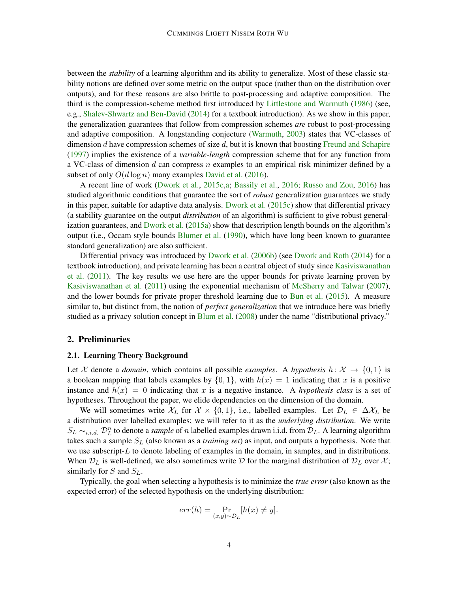between the *stability* of a learning algorithm and its ability to generalize. Most of these classic stability notions are defined over some metric on the output space (rather than on the distribution over outputs), and for these reasons are also brittle to post-processing and adaptive composition. The third is the compression-scheme method first introduced by [Littlestone and Warmuth](#page-26-0) [\(1986\)](#page-26-0) (see, e.g., [Shalev-Shwartz and Ben-David](#page-26-4) [\(2014\)](#page-26-4) for a textbook introduction). As we show in this paper, the generalization guarantees that follow from compression schemes *are* robust to post-processing and adaptive composition. A longstanding conjecture [\(Warmuth,](#page-26-5) [2003\)](#page-26-5) states that VC-classes of dimension d have compression schemes of size d, but it is known that boosting [Freund and Schapire](#page-25-5) [\(1997\)](#page-25-5) implies the existence of a *variable-length* compression scheme that for any function from a VC-class of dimension d can compress n examples to an empirical risk minimizer defined by a subset of only  $O(d \log n)$  many examples [David et al.](#page-25-3) [\(2016\)](#page-25-3).

A recent line of work [\(Dwork et al.,](#page-25-0) [2015c,](#page-25-0)[a;](#page-25-2) [Bassily et al.,](#page-24-0) [2016;](#page-24-0) [Russo and Zou,](#page-26-6) [2016\)](#page-26-6) has studied algorithmic conditions that guarantee the sort of *robust* generalization guarantees we study in this paper, suitable for adaptive data analysis. [Dwork et al.](#page-25-0) [\(2015c\)](#page-25-0) show that differential privacy (a stability guarantee on the output *distribution* of an algorithm) is sufficient to give robust general-ization guarantees, and [Dwork et al.](#page-25-2)  $(2015a)$  show that description length bounds on the algorithm's output (i.e., Occam style bounds [Blumer et al.](#page-25-6) [\(1990\)](#page-25-6), which have long been known to guarantee standard generalization) are also sufficient.

Differential privacy was introduced by [Dwork et al.](#page-25-7) [\(2006b\)](#page-25-7) (see [Dwork and Roth](#page-25-8) [\(2014\)](#page-25-8) for a textbook introduction), and private learning has been a central object of study since [Kasiviswanathan](#page-25-9) [et al.](#page-25-9) [\(2011\)](#page-25-9). The key results we use here are the upper bounds for private learning proven by [Kasiviswanathan et al.](#page-25-9) [\(2011\)](#page-25-9) using the exponential mechanism of [McSherry and Talwar](#page-26-7) [\(2007\)](#page-26-7), and the lower bounds for private proper threshold learning due to [Bun et al.](#page-25-10) [\(2015\)](#page-25-10). A measure similar to, but distinct from, the notion of *perfect generalization* that we introduce here was briefly studied as a privacy solution concept in [Blum et al.](#page-25-11) [\(2008\)](#page-25-11) under the name "distributional privacy."

#### <span id="page-3-0"></span>2. Preliminaries

# 2.1. Learning Theory Background

Let X denote a *domain*, which contains all possible *examples*. A *hypothesis*  $h: X \rightarrow \{0, 1\}$  is a boolean mapping that labels examples by  $\{0, 1\}$ , with  $h(x) = 1$  indicating that x is a positive instance and  $h(x) = 0$  indicating that x is a negative instance. A *hypothesis class* is a set of hypotheses. Throughout the paper, we elide dependencies on the dimension of the domain.

We will sometimes write  $\mathcal{X}_L$  for  $\mathcal{X} \times \{0,1\}$ , i.e., labelled examples. Let  $\mathcal{D}_L \in \Delta \mathcal{X}_L$  be a distribution over labelled examples; we will refer to it as the *underlying distribution*. We write  $S_L \sim_{i.i.d.} \mathcal{D}_L^n$  to denote a *sample* of n labelled examples drawn i.i.d. from  $\mathcal{D}_L$ . A learning algorithm takes such a sample S<sup>L</sup> (also known as a *training set*) as input, and outputs a hypothesis. Note that we use subscript-L to denote labeling of examples in the domain, in samples, and in distributions. When  $\mathcal{D}_L$  is well-defined, we also sometimes write  $\mathcal D$  for the marginal distribution of  $\mathcal D_L$  over  $\mathcal X$ ; similarly for  $S$  and  $S_L$ .

Typically, the goal when selecting a hypothesis is to minimize the *true error* (also known as the expected error) of the selected hypothesis on the underlying distribution:

$$
err(h) = \Pr_{(x,y)\sim\mathcal{D}_L}[h(x) \neq y].
$$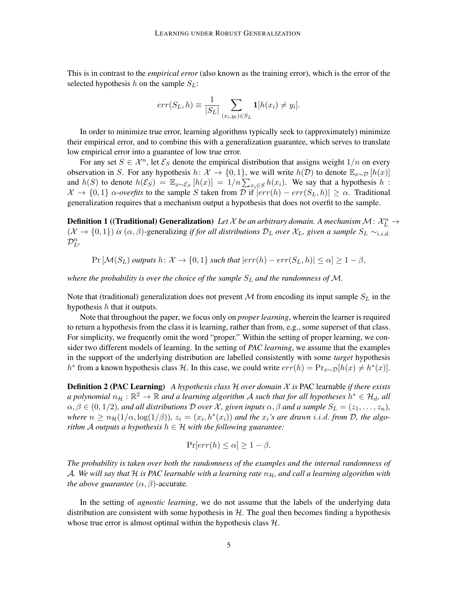This is in contrast to the *empirical error* (also known as the training error), which is the error of the selected hypothesis h on the sample  $S_L$ :

$$
err(S_L, h) \equiv \frac{1}{|S_L|} \sum_{(x_i, y_i) \in S_L} \mathbf{1}[h(x_i) \neq y_i].
$$

In order to minimize true error, learning algorithms typically seek to (approximately) minimize their empirical error, and to combine this with a generalization guarantee, which serves to translate low empirical error into a guarantee of low true error.

For any set  $S \in \mathcal{X}^n$ , let  $\mathcal{E}_S$  denote the empirical distribution that assigns weight  $1/n$  on every observation in S. For any hypothesis  $h: \mathcal{X} \to \{0, 1\}$ , we will write  $h(\mathcal{D})$  to denote  $\mathbb{E}_{x \sim \mathcal{D}}[h(x)]$ and  $h(S)$  to denote  $h(\mathcal{E}_S) = \mathbb{E}_{x \sim \mathcal{E}_S} [h(x)] = 1/n \sum_{x_i \in S} h(x_i)$ . We say that a hypothesis h:  $\mathcal{X} \to \{0,1\}$   $\alpha$ -overfits to the sample S taken from D if  $|err(h) - err(S_L, h)| \geq \alpha$ . Traditional generalization requires that a mechanism output a hypothesis that does not overfit to the sample.

<span id="page-4-0"></span>**Definition 1** ((Traditional) Generalization) Let X be an arbitrary domain. A mechanism  $\mathcal{M}$ :  $\mathcal{X}_L^n \to$  $(X \to \{0,1\})$  *is*  $(\alpha,\beta)$ -generalizing *if for all distributions*  $\mathcal{D}_L$  *over*  $\mathcal{X}_L$ *, given a sample*  $S_L \sim_{i.i.d.}$  $\mathcal{D}_{L}^{n},$ 

 $Pr[\mathcal{M}(S_L)$  *outputs*  $h: \mathcal{X} \to \{0, 1\}$  *such that*  $|err(h) - err(S_L, h)| \leq \alpha$  > 1 –  $\beta$ ,

*where the probability is over the choice of the sample*  $S_L$  *and the randomness of*  $M$ *.* 

Note that (traditional) generalization does not prevent M from encoding its input sample  $S_L$  in the hypothesis  $h$  that it outputs.

Note that throughout the paper, we focus only on *proper learning*, wherein the learner is required to return a hypothesis from the class it is learning, rather than from, e.g., some superset of that class. For simplicity, we frequently omit the word "proper." Within the setting of proper learning, we consider two different models of learning. In the setting of *PAC learning*, we assume that the examples in the support of the underlying distribution are labelled consistently with some *target* hypothesis h<sup>\*</sup> from a known hypothesis class H. In this case, we could write  $err(h) = Pr_{x \sim \mathcal{D}}[h(x) \neq h^*(x)].$ 

<span id="page-4-1"></span>Definition 2 (PAC Learning) *A hypothesis class* H *over domain* X *is* PAC learnable *if there exists* a polynomial  $n_{\mathcal{H}}:\mathbb{R}^2\to\mathbb{R}$  and a learning algorithm  $\mathcal A$  such that for all hypotheses  $h^*\in\mathcal H_d$ , all  $\alpha, \beta \in (0, 1/2)$ *, and all distributions* D *over* X, given inputs  $\alpha, \beta$  *and a sample*  $S_L = (z_1, \ldots, z_n)$ *,*  $where n \geq n_{\mathcal{H}}(1/\alpha, \log(1/\beta)), z_i = (x_i, h^*(x_i))$  and the  $x_i$ 's are drawn i.i.d. from  $\mathcal{D}$ , the algo*rithm A outputs* a *hypothesis*  $h \in H$  *with the following guarantee:* 

$$
\Pr[err(h) \le \alpha] \ge 1 - \beta.
$$

*The probability is taken over both the randomness of the examples and the internal randomness of* A*. We will say that* H *is PAC learnable with a learning rate* nH*, and call a learning algorithm with the above guarantee*  $(\alpha, \beta)$ -accurate.

In the setting of *agnostic learning*, we do not assume that the labels of the underlying data distribution are consistent with some hypothesis in  $H$ . The goal then becomes finding a hypothesis whose true error is almost optimal within the hypothesis class  $H$ .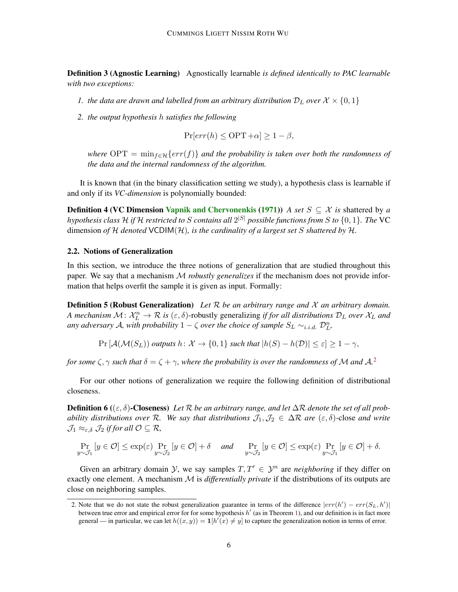Definition 3 (Agnostic Learning) Agnostically learnable *is defined identically to PAC learnable with two exceptions:*

- *1. the data are drawn and labelled from an arbitrary distribution*  $\mathcal{D}_L$  *over*  $\mathcal{X} \times \{0, 1\}$
- *2. the output hypothesis* h *satisfies the following*

$$
\Pr[err(h) \le \text{OPT} + \alpha] \ge 1 - \beta,
$$

*where*  $OPT = min_{f \in \mathcal{H}}\{err(f)\}\$  *and the probability is taken over both the randomness of the data and the internal randomness of the algorithm.*

It is known that (in the binary classification setting we study), a hypothesis class is learnable if and only if its *VC-dimension* is polynomially bounded:

**Definition 4 (VC Dimension [Vapnik and Chervonenkis](#page-26-8) [\(1971\)](#page-26-8))** *A set*  $S \subseteq \mathcal{X}$  *is* shattered by *a hypothesis class* H *if* H *restricted to* S *contains all* 2 <sup>|</sup>S<sup>|</sup> *possible functions from* S *to* {0, 1}*. The* VC dimension *of* H *denoted* VCDIM(H)*, is the cardinality of a largest set* S *shattered by* H*.*

# 2.2. Notions of Generalization

In this section, we introduce the three notions of generalization that are studied throughout this paper. We say that a mechanism M *robustly generalizes* if the mechanism does not provide information that helps overfit the sample it is given as input. Formally:

Definition 5 (Robust Generalization) *Let* R *be an arbitrary range and* X *an arbitrary domain. A* mechanism  $M: \mathcal{X}_L^n \to \mathcal{R}$  is  $(\varepsilon, \delta)$ -robustly generalizing *if for all distributions*  $\mathcal{D}_L$  *over*  $\mathcal{X}_L$  *and* any adversary A, with probability  $1 - \zeta$  over the choice of sample  $S_L \sim_{i.i.d.} \mathcal{D}_{L}^n$ ,

$$
\Pr\left[\mathcal{A}(\mathcal{M}(S_L)) \text{ outputs } h \colon \mathcal{X} \to \{0,1\} \text{ such that } |h(S) - h(\mathcal{D})| \leq \varepsilon\right] \geq 1 - \gamma,
$$

*for some*  $\zeta$ ,  $\gamma$  *such that*  $\delta = \zeta + \gamma$ *, where the probability is over the randomness of* M *and* A.<sup>[2](#page-5-0)</sup>

For our other notions of generalization we require the following definition of distributional closeness.

**Definition 6** (( $\varepsilon, \delta$ )-Closeness) Let R be an arbitrary range, and let  $\Delta R$  denote the set of all prob*ability distributions over* R. We say that distributions  $\mathcal{J}_1, \mathcal{J}_2 \in \Delta \mathcal{R}$  are  $(\varepsilon, \delta)$ -close and write  $\mathcal{J}_1 \approx_{\varepsilon,\delta} \mathcal{J}_2$  *if for all*  $\mathcal{O} \subseteq \mathcal{R}$ *,* 

$$
\Pr_{y \sim \mathcal{J}_1} [y \in \mathcal{O}] \le \exp(\varepsilon) \Pr_{y \sim \mathcal{J}_2} [y \in \mathcal{O}] + \delta \quad \text{and} \quad \Pr_{y \sim \mathcal{J}_2} [y \in \mathcal{O}] \le \exp(\varepsilon) \Pr_{y \sim \mathcal{J}_1} [y \in \mathcal{O}] + \delta.
$$

Given an arbitrary domain *Y*, we say samples  $T, T' \in \mathcal{Y}^n$  are *neighboring* if they differ on exactly one element. A mechanism M is *differentially private* if the distributions of its outputs are close on neighboring samples.

<span id="page-5-0"></span><sup>2.</sup> Note that we do not state the robust generalization guarantee in terms of the difference  $|err(h') - err(S_L, h')|$ between true error and empirical error for for some hypothesis  $h'$  (as in Theorem [1\)](#page-4-0), and our definition is in fact more general — in particular, we can let  $h((x, y)) = \mathbf{1}[h'(x) \neq y]$  to capture the generalization notion in terms of error.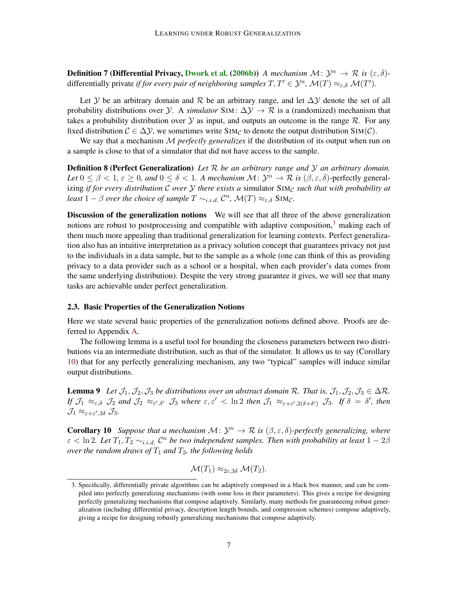**Definition 7 (Differential Privacy, [Dwork et al.](#page-25-7) [\(2006b\)](#page-25-7))** *A mechanism*  $\mathcal{M}$ :  $\mathcal{Y}^n \to \mathcal{R}$  *is*  $(\varepsilon, \delta)$ differentially private *if for every pair of neighboring samples*  $T, T' \in \mathcal{Y}^n$ ,  $\mathcal{M}(T) \approx_{\varepsilon, \delta} \mathcal{M}(T')$ .

Let Y be an arbitrary domain and R be an arbitrary range, and let  $\Delta$ Y denote the set of all probability distributions over *Y*. A *simulator* SIM:  $\Delta y \rightarrow \mathcal{R}$  is a (randomized) mechanism that takes a probability distribution over  $Y$  as input, and outputs an outcome in the range R. For any fixed distribution  $C \in \Delta \mathcal{Y}$ , we sometimes write SIM<sub>C</sub> to denote the output distribution SIM(C).

We say that a mechanism M *perfectly generalizes* if the distribution of its output when run on a sample is close to that of a simulator that did not have access to the sample.

Definition 8 (Perfect Generalization) *Let* R *be an arbitrary range and* Y *an arbitrary domain. Let*  $0 \le \beta < 1$ ,  $\varepsilon \ge 0$ , and  $0 \le \delta < 1$ . A mechanism  $\mathcal{M} \colon \mathcal{Y}^n \to \mathcal{R}$  is  $(\beta, \varepsilon, \delta)$ -perfectly generalizing *if for every distribution*  $C$  *over*  $Y$  *there exists a* simulator  $\text{SIM}_C$  *such that with probability at least*  $1 - \beta$  *over the choice of sample*  $T \sim_{i.i.d.} C^n$ ,  $\mathcal{M}(T) \approx_{\varepsilon, \delta} SIM_C$ .

**Discussion of the generalization notions** We will see that all three of the above generalization notions are robust to postprocessing and compatible with adaptive composition, $3$  making each of them much more appealing than traditional generalization for learning contexts. Perfect generalization also has an intuitive interpretation as a privacy solution concept that guarantees privacy not just to the individuals in a data sample, but to the sample as a whole (one can think of this as providing privacy to a data provider such as a school or a hospital, when each provider's data comes from the same underlying distribution). Despite the very strong guarantee it gives, we will see that many tasks are achievable under perfect generalization.

#### 2.3. Basic Properties of the Generalization Notions

Here we state several basic properties of the generalization notions defined above. Proofs are deferred to Appendix [A.](#page-26-9)

The following lemma is a useful tool for bounding the closeness parameters between two distributions via an intermediate distribution, such as that of the simulator. It allows us to say (Corollary [10\)](#page-6-1) that for any perfectly generalizing mechanism, any two "typical" samples will induce similar output distributions.

<span id="page-6-2"></span>**Lemma 9** *Let*  $\mathcal{J}_1, \mathcal{J}_2, \mathcal{J}_3$  *be distributions over an abstract domain* R. That is,  $\mathcal{J}_1, \mathcal{J}_2, \mathcal{J}_3 \in \Delta \mathcal{R}$ . *If*  $\mathcal{J}_1 \approx_{\varepsilon,\delta} \mathcal{J}_2$  and  $\mathcal{J}_2 \approx_{\varepsilon',\delta'} \mathcal{J}_3$  where  $\varepsilon,\varepsilon' < \ln 2$  then  $\mathcal{J}_1 \approx_{\varepsilon+\varepsilon',2(\delta+\delta')} \mathcal{J}_3$ . If  $\delta = \delta'$ , then  $\mathcal{J}_1 \approx_{\varepsilon+\varepsilon',3\delta} \mathcal{J}_3.$ 

<span id="page-6-1"></span>**Corollary 10** Suppose that a mechanism  $\mathcal{M}: \mathcal{Y}^n \to \mathcal{R}$  is  $(\beta, \varepsilon, \delta)$ -perfectly generalizing, where  $\varepsilon < \ln 2$ . Let  $T_1, T_2 \sim_{i.i.d.} C^n$  be two independent samples. Then with probability at least  $1 - 2\beta$ *over the random draws of*  $T_1$  *and*  $T_2$ *, the following holds* 

$$
\mathcal{M}(T_1) \approx_{2\varepsilon,3\delta} \mathcal{M}(T_2).
$$

<span id="page-6-0"></span><sup>3.</sup> Specifically, differentially private algorithms can be adaptively composed in a black box manner, and can be compiled into perfectly generalizing mechanisms (with some loss in their parameters). This gives a recipe for designing perfectly generalizing mechanisms that compose adaptively. Similarly, many methods for guaranteeing robust generalization (including differential privacy, description length bounds, and compression schemes) compose adaptively, giving a recipe for designing robustly generalizing mechanisms that compose adaptively.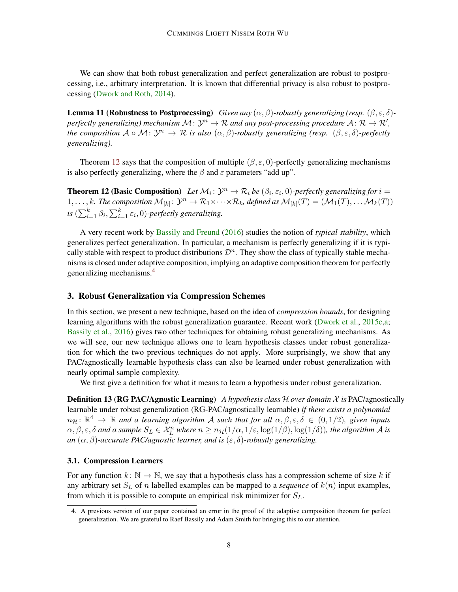We can show that both robust generalization and perfect generalization are robust to postprocessing, i.e., arbitrary interpretation. It is known that differential privacy is also robust to postprocessing [\(Dwork and Roth,](#page-25-8) [2014\)](#page-25-8).

<span id="page-7-2"></span>**Lemma 11 (Robustness to Postprocessing)** *Given any*  $(\alpha, \beta)$ *-robustly generalizing (resp.*  $(\beta, \varepsilon, \delta)$ perfectly generalizing) mechanism  $\mathcal{M} \colon \mathcal{Y}^n \to \mathcal{R}$  and any post-processing procedure  $\mathcal{A} \colon \mathcal{R} \to \mathcal{R}'$ , *the composition*  $A \circ M: Y^n \to \mathcal{R}$  *is also*  $(\alpha, \beta)$ *-robustly generalizing (resp.*  $(\beta, \varepsilon, \delta)$ *-perfectly generalizing).*

Theorem [12](#page-7-0) says that the composition of multiple  $(\beta, \varepsilon, 0)$ -perfectly generalizing mechanisms is also perfectly generalizing, where the  $\beta$  and  $\varepsilon$  parameters "add up".

<span id="page-7-0"></span>**Theorem 12 (Basic Composition)** Let  $\mathcal{M}_i: \mathcal{Y}^n \to \mathcal{R}_i$  be  $(\beta_i, \varepsilon_i, 0)$ -perfectly generalizing for  $i =$ 1,...,k. The composition  $M_{[k]}: \mathcal{Y}^n \to \mathcal{R}_1 \times \cdots \times \mathcal{R}_k$ , defined as  $M_{[k]}(T) = (M_1(T), \ldots M_k(T))$ is  $(\sum_{i=1}^k \beta_i, \sum_{i=1}^k \varepsilon_i, 0)$ -perfectly generalizing.

A very recent work by [Bassily and Freund](#page-24-1) [\(2016\)](#page-24-1) studies the notion of *typical stability*, which generalizes perfect generalization. In particular, a mechanism is perfectly generalizing if it is typically stable with respect to product distributions  $\mathcal{D}^n$ . They show the class of typically stable mechanisms is closed under adaptive composition, implying an adaptive composition theorem for perfectly generalizing mechanisms.[4](#page-7-1)

# 3. Robust Generalization via Compression Schemes

In this section, we present a new technique, based on the idea of *compression bounds*, for designing learning algorithms with the robust generalization guarantee. Recent work [\(Dwork et al.,](#page-25-0) [2015c](#page-25-0)[,a;](#page-25-2) [Bassily et al.,](#page-24-0) [2016\)](#page-24-0) gives two other techniques for obtaining robust generalizing mechanisms. As we will see, our new technique allows one to learn hypothesis classes under robust generalization for which the two previous techniques do not apply. More surprisingly, we show that any PAC/agnostically learnable hypothesis class can also be learned under robust generalization with nearly optimal sample complexity.

We first give a definition for what it means to learn a hypothesis under robust generalization.

Definition 13 (RG PAC/Agnostic Learning) *A hypothesis class* H *over domain* X *is* PAC/agnostically learnable under robust generalization (RG-PAC/agnostically learnable) *if there exists a polynomial*  $n_{\mathcal{H}}\colon\mathbb{R}^4\to\mathbb{R}$  and a learning algorithm A such that for all  $\alpha,\beta,\varepsilon,\delta\,\in\,(0,1/2)$ , given inputs  $\alpha, \beta, \varepsilon, \delta$  and a sample  $S_L \in \mathcal{X}_L^n$  where  $n \geq n_{\mathcal{H}}(1/\alpha, 1/\varepsilon, \log(1/\beta), \log(1/\delta))$ , the algorithm A is *an* (α, β)*-accurate PAC/agnostic learner, and is* (ε, δ)*-robustly generalizing.*

#### 3.1. Compression Learners

For any function  $k: \mathbb{N} \to \mathbb{N}$ , we say that a hypothesis class has a compression scheme of size k if any arbitrary set  $S_L$  of n labelled examples can be mapped to a *sequence* of  $k(n)$  input examples, from which it is possible to compute an empirical risk minimizer for  $S_L$ .

<span id="page-7-1"></span><sup>4.</sup> A previous version of our paper contained an error in the proof of the adaptive composition theorem for perfect generalization. We are grateful to Raef Bassily and Adam Smith for bringing this to our attention.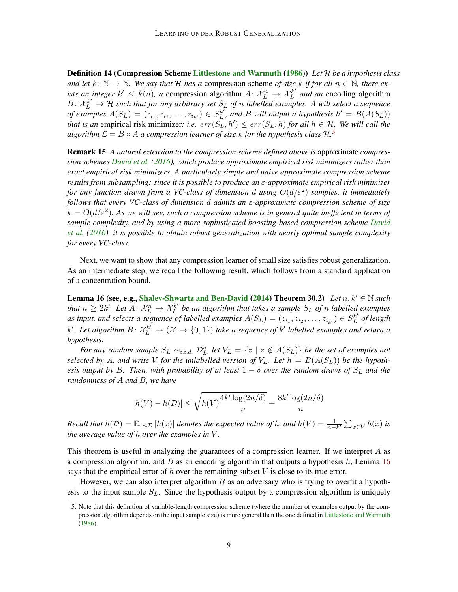Definition 14 (Compression Scheme [Littlestone and Warmuth](#page-26-0) [\(1986\)](#page-26-0)) *Let* H *be a hypothesis class and let*  $k: \mathbb{N} \to \mathbb{N}$ . We say that H has a compression scheme of size k if for all  $n \in \mathbb{N}$ , there ex*ists an integer*  $k' \leq k(n)$ , a compression algorithm  $A: \mathcal{X}_L^n \to \mathcal{X}_L^{k'}$  $L_L^k'$  *and an* encoding algorithm  $B\colon \mathcal{X}_L^{k'} \to \mathcal{H}$  such that for any arbitrary set  $S_L$  of n *labelled examples, A will select a sequence of examples*  $A(S_L) = (z_{i_1}, z_{i_2}, \dots, z_{i_{k'}}) \in S_L^{k'}$  $L_L^{k'}$ , and B will output a hypothesis  $h' = B(A(S_L))$ *that is an empirical risk minimizer; i.e.*  $err(S_L, h') \leq err(S_L, h)$  *for all*  $h \in \mathcal{H}$ *. We will call the* algorithm  $\mathcal{L} = B \circ A$  a compression learner of size  $k$  for the hypothesis class  $\mathcal{H}$ .<sup>[5](#page-8-0)</sup>

**Remark 15** *A natural extension to the compression scheme defined above is approximate compression schemes [David et al.](#page-25-3) [\(2016\)](#page-25-3), which produce approximate empirical risk minimizers rather than exact empirical risk minimizers. A particularly simple and naive approximate compression scheme results from subsampling: since it is possible to produce an* ε*-approximate empirical risk minimizer for any function drawn from a VC-class of dimension* d *using* O(d/ε<sup>2</sup> ) *samples, it immediately follows that every VC-class of dimension* d *admits an* ε*-approximate compression scheme of size*  $k = O(d/\varepsilon^2)$ . As we will see, such a compression scheme is in general quite inefficient in terms of *sample complexity, and by using a more sophisticated boosting-based compression scheme [David](#page-25-3) [et al.](#page-25-3) [\(2016\)](#page-25-3), it is possible to obtain robust generalization with nearly optimal sample complexity for every VC-class.*

Next, we want to show that any compression learner of small size satisfies robust generalization. As an intermediate step, we recall the following result, which follows from a standard application of a concentration bound.

<span id="page-8-1"></span>Lemma 16 (see, e.g., [Shalev-Shwartz and Ben-David](#page-26-4) [\(2014\)](#page-26-4) Theorem 30.2) *Let*  $n, k' \in \mathbb{N}$  *such* that  $n \geq 2k'$ . Let  $\overline{A}$ :  $\mathcal{X}_L^n \to \mathcal{X}_L^{k'}$ L *be an algorithm that takes a sample* S<sup>L</sup> *of* n *labelled examples* as input, and selects a sequence of labelled examples  $A(S_L) = (z_{i_1}, z_{i_2}, \ldots, z_{i_{k'}}) \in S_L^{k'}$ L *of length* k'. Let algorithm  $B\colon \mathcal{X}_L^{k'} \to (\mathcal{X} \to \{0,1\})$  take a sequence of  $k'$  labelled examples and return a *hypothesis.*

*For any random sample*  $S_L \sim_{i.i.d.} \mathcal{D}_L^n$ , let  $V_L = \{z \mid z \notin A(S_L)\}$  be the set of examples not selected by A, and write V for the unlabelled version of  $V_L$ . Let  $h = B(A(S_L))$  be the hypoth*esis output by B. Then, with probability of at least*  $1 - \delta$  *over the random draws of*  $S_L$  *and the randomness of* A *and* B*, we have*

$$
|h(V) - h(\mathcal{D})| \le \sqrt{h(V)\frac{4k'\log(2n/\delta)}{n}} + \frac{8k'\log(2n/\delta)}{n}
$$

*Recall that*  $h(D) = \mathbb{E}_{x \sim D} [h(x)]$  *denotes the expected value of h, and*  $h(V) = \frac{1}{n-k'} \sum_{x \in V} h(x)$  *is the average value of* h *over the examples in* V *.*

This theorem is useful in analyzing the guarantees of a compression learner. If we interpret  $A$  as a compression algorithm, and B as an encoding algorithm that outputs a hypothesis h, Lemma [16](#page-8-1) says that the empirical error of h over the remaining subset  $V$  is close to its true error.

However, we can also interpret algorithm  $B$  as an adversary who is trying to overfit a hypothesis to the input sample  $S_L$ . Since the hypothesis output by a compression algorithm is uniquely

<span id="page-8-0"></span><sup>5.</sup> Note that this definition of variable-length compression scheme (where the number of examples output by the compression algorithm depends on the input sample size) is more general than the one defined in [Littlestone and Warmuth](#page-26-0) [\(1986\)](#page-26-0).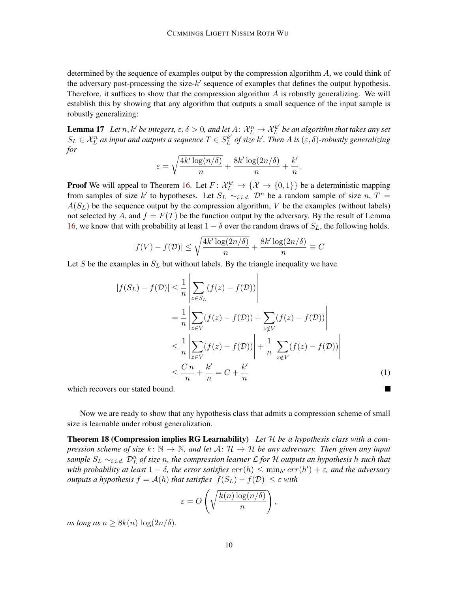determined by the sequence of examples output by the compression algorithm A, we could think of the adversary post-processing the size- $k'$  sequence of examples that defines the output hypothesis. Therefore, it suffices to show that the compression algorithm  $A$  is robustly generalizing. We will establish this by showing that any algorithm that outputs a small sequence of the input sample is robustly generalizing:

<span id="page-9-1"></span>**Lemma 17** Let  $n, k'$  be integers,  $\varepsilon, \delta > 0$ , and let  $A: \mathcal{X}_L^n \to \mathcal{X}_L^{k'}$ L *be an algorithm that takes any set*  $S_L \in \mathcal{X}_L^n$  as input and outputs a sequence  $T \in S_L^{k'}$  $L_L^{k'}$  of size  $k'$ . Then A is  $(\varepsilon, \delta)$ -robustly generalizing *for*

$$
\varepsilon = \sqrt{\frac{4k' \log(n/\delta)}{n}} + \frac{8k' \log(2n/\delta)}{n} + \frac{k'}{n}.
$$

**Proof** We will appeal to Theorem [16.](#page-8-1) Let  $F: \mathcal{X}_L^{k'} \to \{X \to \{0,1\}\}\$ be a deterministic mapping from samples of size k' to hypotheses. Let  $S_L \sim_{i.i.d.} \mathcal{D}^n$  be a random sample of size  $n, T =$  $A(S_L)$  be the sequence output by the compression algorithm, V be the examples (without labels) not selected by A, and  $f = F(T)$  be the function output by the adversary. By the result of Lemma [16,](#page-8-1) we know that with probability at least  $1 - \delta$  over the random draws of  $S_L$ , the following holds,

$$
|f(V) - f(\mathcal{D})| \le \sqrt{\frac{4k' \log(2n/\delta)}{n}} + \frac{8k' \log(2n/\delta)}{n} \equiv C
$$

Let S be the examples in  $S_L$  but without labels. By the triangle inequality we have

$$
|f(S_L) - f(\mathcal{D})| \leq \frac{1}{n} \left| \sum_{z \in S_L} (f(z) - f(\mathcal{D})) \right|
$$
  
= 
$$
\frac{1}{n} \left| \sum_{z \in V} (f(z) - f(\mathcal{D})) + \sum_{z \notin V} (f(z) - f(\mathcal{D})) \right|
$$
  

$$
\leq \frac{1}{n} \left| \sum_{z \in V} (f(z) - f(\mathcal{D})) \right| + \frac{1}{n} \left| \sum_{z \notin V} (f(z) - f(\mathcal{D})) \right|
$$
  

$$
\leq \frac{Cn}{n} + \frac{k'}{n} = C + \frac{k'}{n}
$$
 (1)

 $\blacksquare$ 

which recovers our stated bound.

Now we are ready to show that any hypothesis class that admits a compression scheme of small size is learnable under robust generalization.

<span id="page-9-0"></span>Theorem 18 (Compression implies RG Learnability) *Let* H *be a hypothesis class with a compression scheme of size*  $k: \mathbb{N} \to \mathbb{N}$ , and let  $A: \mathcal{H} \to \mathcal{H}$  be any adversary. Then given any input *sample*  $S_L \sim_{i.i.d.} \mathcal{D}_L^n$  *of size n, the compression learner*  $\mathcal L$  *for*  $\mathcal H$  *outputs an hypothesis h such that with probability at least*  $1 - \delta$ , the error satisfies  $err(h) \leq \min_{h'} err(h') + \varepsilon$ , and the adversary *outputs a hypothesis*  $f = A(h)$  *that satisfies*  $|f(S_L) - f(D)| \leq \varepsilon$  *with* 

$$
\varepsilon = O\left(\sqrt{\frac{k(n)\log(n/\delta)}{n}}\right),\,
$$

*as long as*  $n > 8k(n) \log(2n/\delta)$ .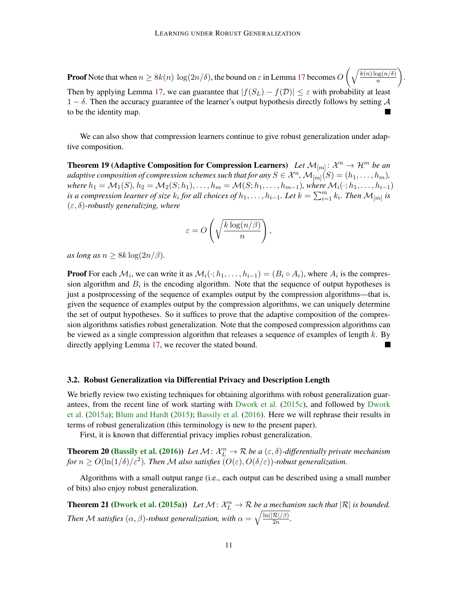**Proof** Note that when  $n \ge 8k(n) \log(2n/\delta)$ , the bound on  $\varepsilon$  in Lemma [17](#page-9-1) becomes  $O\left(\sqrt{\frac{k(n)\log(n/\delta)}{n}}\right)$  $\overline{n}$  . Then by applying Lemma [17,](#page-9-1) we can guarantee that  $|f(S_L) - f(\mathcal{D})| \leq \varepsilon$  with probability at least  $1 - \delta$ . Then the accuracy guarantee of the learner's output hypothesis directly follows by setting A to be the identity map.

We can also show that compression learners continue to give robust generalization under adaptive composition.

<span id="page-10-0"></span>**Theorem 19 (Adaptive Composition for Compression Learners)** Let  $\mathcal{M}_{[m]}: \mathcal{X}^n \to \mathcal{H}^m$  be an adaptive composition of compression schemes such that for any  $S \in \mathcal{X}^n$  ,  $\mathcal{M}_{[m]}(S) = (h_1, \ldots, h_m)$ , *where*  $h_1 = \mathcal{M}_1(S)$ ,  $h_2 = \mathcal{M}_2(S; h_1)$ , . . . ,  $h_m = \mathcal{M}(S; h_1, \ldots, h_{m-1})$ , where  $\mathcal{M}_i(\cdot; h_1, \ldots, h_{i-1})$ *is a compression learner of size*  $k_i$  *for all choices of*  $h_1, \ldots, h_{i-1}$ *. Let*  $k = \sum_{i=1}^m k_i$ *. Then*  $\mathcal{M}_{[m]}$  *is* (ε, δ)*-robustly generalizing, where*

$$
\varepsilon = O\left(\sqrt{\frac{k \log(n/\beta)}{n}}\right),\,
$$

*as long as*  $n \geq 8k \log(2n/\beta)$ *.* 

**Proof** For each  $\mathcal{M}_i$ , we can write it as  $\mathcal{M}_i(\cdot; h_1, \dots, h_{i-1}) = (B_i \circ A_i)$ , where  $A_i$  is the compression algorithm and  $B_i$  is the encoding algorithm. Note that the sequence of output hypotheses is just a postprocessing of the sequence of examples output by the compression algorithms—that is, given the sequence of examples output by the compression algorithms, we can uniquely determine the set of output hypotheses. So it suffices to prove that the adaptive composition of the compression algorithms satisfies robust generalization. Note that the composed compression algorithms can be viewed as a single compression algorithm that releases a sequence of examples of length  $k$ . By directly applying Lemma [17,](#page-9-1) we recover the stated bound. ×

#### 3.2. Robust Generalization via Differential Privacy and Description Length

We briefly review two existing techniques for obtaining algorithms with robust generalization guarantees, from the recent line of work starting with [Dwork et al.](#page-25-0) [\(2015c\)](#page-25-0), and followed by [Dwork](#page-25-2) [et al.](#page-25-2) [\(2015a\)](#page-25-2); [Blum and Hardt](#page-25-12) [\(2015\)](#page-25-12); [Bassily et al.](#page-24-0) [\(2016\)](#page-24-0). Here we will rephrase their results in terms of robust generalization (this terminology is new to the present paper).

<span id="page-10-1"></span>First, it is known that differential privacy implies robust generalization.

**Theorem 20 [\(Bassily et al.](#page-24-0) [\(2016\)](#page-24-0))** Let  $\mathcal{M}$ :  $\mathcal{X}_L^n \to \mathcal{R}$  be a  $(\varepsilon, \delta)$ -differentially private mechanism *for*  $n \geq O(\ln(1/\delta)/\varepsilon^2)$ . Then M also satisfies  $(O(\varepsilon), O(\delta/\varepsilon))$ -robust generalization.

Algorithms with a small output range (i.e., each output can be described using a small number of bits) also enjoy robust generalization.

**Theorem 21 [\(Dwork et al.](#page-25-2) [\(2015a\)](#page-25-2))** Let  $\mathcal{M}$ :  $\mathcal{X}_L^n \to \mathcal{R}$  be a mechanism such that  $|\mathcal{R}|$  is bounded. *Then M satisfies* ( $\alpha$ ,  $\beta$ )-*robust generalization, with*  $\alpha = \sqrt{\frac{\ln(|\mathcal{R}|/\beta)}{2n}}$  $rac{\kappa_{1/D}}{2n}$ .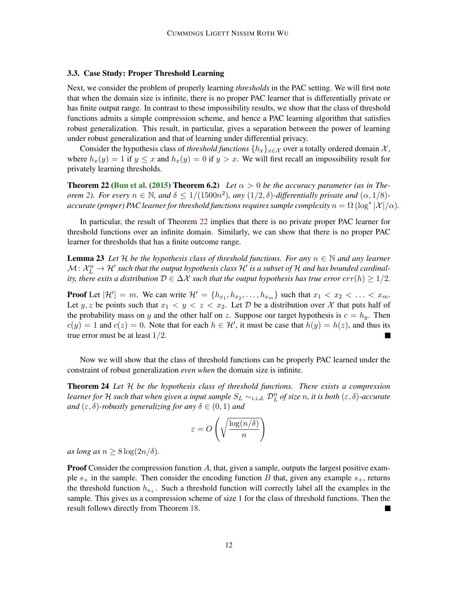#### <span id="page-11-0"></span>3.3. Case Study: Proper Threshold Learning

Next, we consider the problem of properly learning *thresholds* in the PAC setting. We will first note that when the domain size is infinite, there is no proper PAC learner that is differentially private or has finite output range. In contrast to these impossibility results, we show that the class of threshold functions admits a simple compression scheme, and hence a PAC learning algorithm that satisfies robust generalization. This result, in particular, gives a separation between the power of learning under robust generalization and that of learning under differential privacy.

Consider the hypothesis class of *threshold functions*  $\{h_x\}_{x \in \mathcal{X}}$  over a totally ordered domain  $\mathcal{X}$ , where  $h_x(y) = 1$  if  $y \le x$  and  $h_x(y) = 0$  if  $y > x$ . We will first recall an impossibility result for privately learning thresholds.

<span id="page-11-1"></span>**Theorem 22 [\(Bun et al.](#page-25-10) [\(2015\)](#page-25-10) Theorem 6.2)** Let  $\alpha > 0$  be the accuracy parameter (as in The*orem* [2\)](#page-4-1). For every  $n \in \mathbb{N}$ , and  $\delta \leq 1/(1500n^2)$ , any  $(1/2, \delta)$ -differentially private and  $(\alpha, 1/8)$ *accurate (proper) PAC learner for threshold functions requires sample complexity*  $n = \Omega(\log^* |{\cal X}|/\alpha)$ *.* 

In particular, the result of Theorem [22](#page-11-1) implies that there is no private proper PAC learner for threshold functions over an infinite domain. Similarly, we can show that there is no proper PAC learner for thresholds that has a finite outcome range.

**Lemma 23** *Let*  $H$  *be the hypothesis class of threshold functions. For any*  $n \in \mathbb{N}$  *and any learner*  $\mathcal{M}\colon \mathcal{X}_L^n \to \mathcal{H}'$  such that the output hypothesis class  $\mathcal{H}'$  is a subset of  $\mathcal{H}$  and has bounded cardinal*ity, there exits a distribution*  $D \in \Delta \mathcal{X}$  *such that the output hypothesis has true error*  $err(h) \geq 1/2$ *.* 

**Proof** Let  $|\mathcal{H}'| = m$ . We can write  $\mathcal{H}' = \{h_{x_1}, h_{x_2}, \dots, h_{x_m}\}\$  such that  $x_1 < x_2 < \dots < x_m$ . Let y, z be points such that  $x_1 < y < z < x_2$ . Let D be a distribution over X that puts half of the probability mass on y and the other half on z. Suppose our target hypothesis is  $c = h_y$ . Then  $c(y) = 1$  and  $c(z) = 0$ . Note that for each  $h \in \mathcal{H}'$ , it must be case that  $h(y) = h(z)$ , and thus its true error must be at least 1/2.

Now we will show that the class of threshold functions can be properly PAC learned under the constraint of robust generalization *even when* the domain size is infinite.

Theorem 24 *Let* H *be the hypothesis class of threshold functions. There exists a compression learner for H such that when given a input sample*  $S_L \sim_{i.i.d.} \mathcal{D}_L^n$  *of size n, it is both* (ε,δ)-accurate *and*  $(\varepsilon, \delta)$ -robustly generalizing for any  $\delta \in (0, 1)$  and

$$
\varepsilon = O\left(\sqrt{\frac{\log(n/\delta)}{n}}\right)
$$

*as long as*  $n \geq 8 \log(2n/\delta)$ .

**Proof** Consider the compression function  $A$ , that, given a sample, outputs the largest positive example  $s_{+}$  in the sample. Then consider the encoding function B that, given any example  $s_{+}$ , returns the threshold function  $h_{s+}$ . Such a threshold function will correctly label all the examples in the sample. This gives us a compression scheme of size 1 for the class of threshold functions. Then the result follows directly from Theorem [18.](#page-9-0)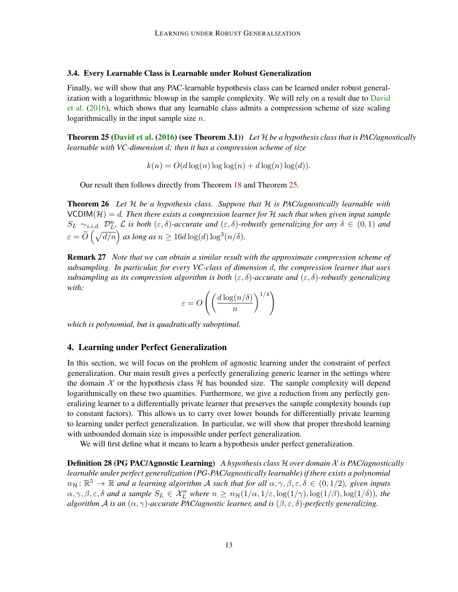#### 3.4. Every Learnable Class is Learnable under Robust Generalization

Finally, we will show that any PAC-learnable hypothesis class can be learned under robust generalization with a logarithmic blowup in the sample complexity. We will rely on a result due to [David](#page-25-3) [et al.](#page-25-3)  $(2016)$ , which shows that any learnable class admits a compression scheme of size scaling logarithmically in the input sample size  $n$ .

<span id="page-12-1"></span>Theorem 25 [\(David et al.](#page-25-3) [\(2016\)](#page-25-3) (see Theorem 3.1)) *Let* H *be a hypothesis class that is PAC/agnostically learnable with VC-dimension* d*; then it has a compression scheme of size*

 $k(n) = O(d \log(n) \log \log(n) + d \log(n) \log(d)).$ 

Our result then follows directly from Theorem [18](#page-9-0) and Theorem [25.](#page-12-1)

<span id="page-12-0"></span>Theorem 26 *Let* H *be a hypothesis class. Suppose that* H *is PAC/agnostically learnable with*  $VCDIM(\mathcal{H}) = d$ . Then there exists a compression learner for H such that when given input sample  $S_L \sim_{i.i.d.} \mathcal{D}_{L_1}^n$ ,  $\mathcal{L}$  *is both*  $(\varepsilon, \delta)$ -accurate and  $(\varepsilon, \delta)$ -robustly generalizing for any  $\delta \in (0,1)$  and  $\varepsilon = \widetilde{O}\left(\sqrt{d/n}\right)$  as long as  $n \geq 16d\log(d)\log^3(n/\delta).$ 

Remark 27 *Note that we can obtain a similar result with the approximate compression scheme of subsampling. In particular, for every VC-class of dimension* d*, the compression learner that uses subsampling as its compression algorithm is both* (ε, δ)*-accurate and* (ε, δ)*-robustly generalizing with:*

$$
\varepsilon = O\left(\left(\frac{d\log(n/\delta)}{n}\right)^{1/4}\right)
$$

*which is polynomial, but is quadratically suboptimal.*

# 4. Learning under Perfect Generalization

In this section, we will focus on the problem of agnostic learning under the constraint of perfect generalization. Our main result gives a perfectly generalizing generic learner in the settings where the domain X or the hypothesis class  $H$  has bounded size. The sample complexity will depend logarithmically on these two quantities. Furthermore, we give a reduction from any perfectly generalizing learner to a differentially private learner that preserves the sample complexity bounds (up to constant factors). This allows us to carry over lower bounds for differentially private learning to learning under perfect generalization. In particular, we will show that proper threshold learning with unbounded domain size is impossible under perfect generalization.

We will first define what it means to learn a hypothesis under perfect generalization.

Definition 28 (PG PAC/Agnostic Learning) *A hypothesis class* H *over domain* X *is PAC/agnostically learnable under perfect generalization (PG-PAC/agnostically learnable) if there exists a polynomial*  $n_{\mathcal{H}}\colon\mathbb{R}^5\to\mathbb{R}$  and a learning algorithm A such that for all  $\alpha,\gamma,\beta,\varepsilon,\delta\in(0,1/2)$ , given inputs  $\alpha, \gamma, \beta, \varepsilon, \delta$  and a sample  $S_L \in \mathcal{X}_L^n$  where  $n \geq n_{\mathcal{H}}(1/\alpha, 1/\varepsilon, \log(1/\gamma), \log(1/\beta), \log(1/\delta))$ , the *algorithm* A *is an* (α, γ)*-accurate PAC/agnostic learner, and is* (β, ε, δ)*-perfectly generalizing.*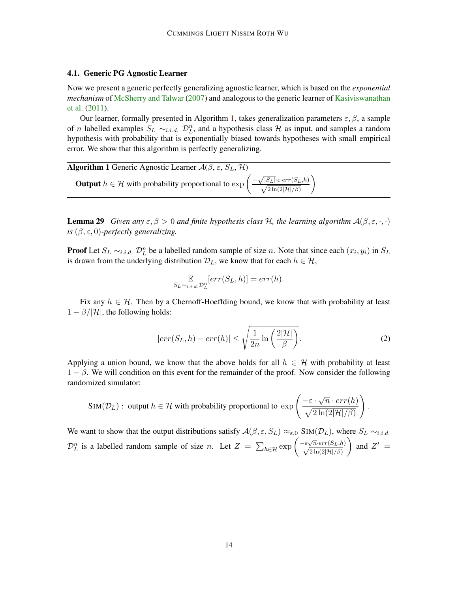# <span id="page-13-0"></span>4.1. Generic PG Agnostic Learner

Now we present a generic perfectly generalizing agnostic learner, which is based on the *exponential mechanism* of [McSherry and Talwar](#page-26-7) [\(2007\)](#page-26-7) and analogous to the generic learner of [Kasiviswanathan](#page-25-9) [et al.](#page-25-9) [\(2011\)](#page-25-9).

Our learner, formally presented in Algorithm [1,](#page-13-1) takes generalization parameters  $\varepsilon$ ,  $\beta$ , a sample of *n* labelled examples  $S_L \sim_{i.i.d.} \mathcal{D}_L^n$ , and a hypothesis class H as input, and samples a random hypothesis with probability that is exponentially biased towards hypotheses with small empirical error. We show that this algorithm is perfectly generalizing.

<span id="page-13-1"></span>**Algorithm 1** Generic Agnostic Learner 
$$
\mathcal{A}(\beta, \varepsilon, S_L, \mathcal{H})
$$
  
\n**Output**  $h \in \mathcal{H}$  with probability proportional to  $\exp\left(\frac{-\sqrt{|S_L|} \cdot \varepsilon \cdot err(S_L, h)}{\sqrt{2 \ln(2|\mathcal{H}|/\beta)}}\right)$ 

**Lemma 29** *Given any*  $\varepsilon, \beta > 0$  *and finite hypothesis class H, the learning algorithm*  $A(\beta, \varepsilon, \cdot, \cdot)$ *is*  $(\beta, \varepsilon, 0)$ -perfectly generalizing.

**Proof** Let  $S_L \sim_{i.i.d.} \mathcal{D}_L^n$  be a labelled random sample of size n. Note that since each  $(x_i, y_i)$  in  $S_L$ is drawn from the underlying distribution  $\mathcal{D}_L$ , we know that for each  $h \in \mathcal{H}$ ,

$$
\mathbb{E}_{S_L \sim_{i.i.d.} \mathcal{D}_L^n} [err(S_L, h)] = err(h).
$$

Fix any  $h \in \mathcal{H}$ . Then by a Chernoff-Hoeffding bound, we know that with probability at least  $1 - \beta/|\mathcal{H}|$ , the following holds:

<span id="page-13-2"></span>
$$
|err(S_L, h) - err(h)| \le \sqrt{\frac{1}{2n} \ln \left(\frac{2|\mathcal{H}|}{\beta}\right)}.
$$
 (2)

Applying a union bound, we know that the above holds for all  $h \in \mathcal{H}$  with probability at least  $1 - \beta$ . We will condition on this event for the remainder of the proof. Now consider the following randomized simulator:

$$
\text{SIM}(\mathcal{D}_L): \text{ output } h \in \mathcal{H} \text{ with probability proportional to } \exp\left(\frac{-\varepsilon \cdot \sqrt{n} \cdot err(h)}{\sqrt{2\ln(2|\mathcal{H}|/\beta)}}\right).
$$

We want to show that the output distributions satisfy  $\mathcal{A}(\beta,\varepsilon,S_L) \approx_{\varepsilon,0} \text{Sim}(\mathcal{D}_L)$ , where  $S_L \sim_{i.i.d.}$  $\mathcal{D}_L^n$  is a labelled random sample of size n. Let  $Z = \sum_{h \in \mathcal{H}} \exp \left( \frac{-\varepsilon \sqrt{n} \cdot err(S_L, h)}{\sqrt{2 \ln(2|\mathcal{H}|/\beta)}} \right)$ ) and  $Z' =$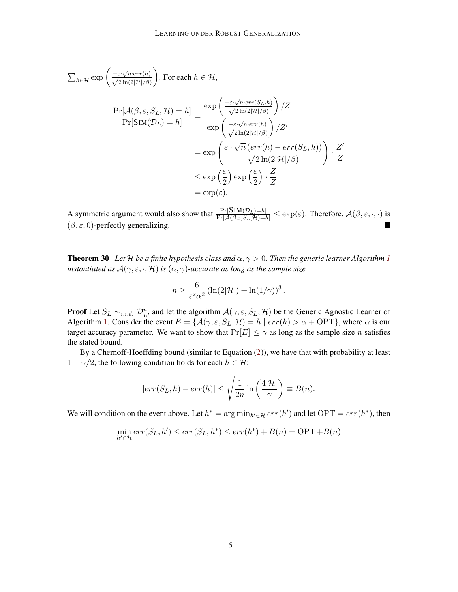$$
\sum_{h \in \mathcal{H}} \exp\left(\frac{-\varepsilon \cdot \sqrt{n} \cdot err(h)}{\sqrt{2 \ln(2|\mathcal{H}|/\beta)}}\right) . \text{ For each } h \in \mathcal{H},
$$
\n
$$
\frac{\Pr[\mathcal{A}(\beta, \varepsilon, S_L, \mathcal{H}) = h]}{\Pr[\text{SIM}(\mathcal{D}_L) = h]} = \frac{\exp\left(\frac{-\varepsilon \cdot \sqrt{n} \cdot err(S_L, h)}{\sqrt{2 \ln(2|\mathcal{H}|/\beta)}}\right) / Z}{\exp\left(\frac{-\varepsilon \cdot \sqrt{n} \cdot err(h)}{\sqrt{2 \ln(2|\mathcal{H}|/\beta)}}\right) / Z'}
$$
\n
$$
= \exp\left(\frac{\varepsilon \cdot \sqrt{n} \left( err(h) - err(S_L, h) \right)}{\sqrt{2 \ln(2|\mathcal{H}|/\beta)}}\right) \cdot \frac{Z'}{Z}
$$
\n
$$
\leq \exp\left(\frac{\varepsilon}{2}\right) \exp\left(\frac{\varepsilon}{2}\right) \cdot \frac{Z}{Z}
$$
\n
$$
= \exp(\varepsilon).
$$

A symmetric argument would also show that  $\frac{\Pr[\text{SIM}(\mathcal{D}_L)=h]}{\Pr[\mathcal{A}(\beta,\varepsilon,S_L,\mathcal{H})=h]} \leq \exp(\varepsilon)$ . Therefore,  $\mathcal{A}(\beta,\varepsilon,\cdot,\cdot)$  is  $(\beta, \varepsilon, 0)$ -perfectly generalizing.

<span id="page-14-0"></span>**Theorem 30** Let H be a finite hypothesis class and  $\alpha, \gamma > 0$ . Then the generic learner Algorithm [1](#page-13-1) *instantiated as*  $\mathcal{A}(\gamma,\varepsilon,\cdot,\mathcal{H})$  *is*  $(\alpha,\gamma)$ -accurate as long as the sample size

$$
n \ge \frac{6}{\varepsilon^2 \alpha^2} \left( \ln(2|\mathcal{H}|) + \ln(1/\gamma) \right)^3.
$$

**Proof** Let  $S_L \sim_{i.i.d.} \mathcal{D}_L^n$ , and let the algorithm  $\mathcal{A}(\gamma, \varepsilon, S_L, \mathcal{H})$  be the Generic Agnostic Learner of Algorithm [1.](#page-13-1) Consider the event  $E = \{A(\gamma, \varepsilon, S_L, \mathcal{H}) = h \mid err(h) > \alpha + \text{OPT}\}\,$ , where  $\alpha$  is our target accuracy parameter. We want to show that  $Pr[E] \leq \gamma$  as long as the sample size *n* satisfies the stated bound.

By a Chernoff-Hoeffding bound (similar to Equation [\(2\)](#page-13-2)), we have that with probability at least  $1 - \gamma/2$ , the following condition holds for each  $h \in \mathcal{H}$ :

$$
|err(S_L, h) - err(h)| \le \sqrt{\frac{1}{2n} \ln \left( \frac{4|\mathcal{H}|}{\gamma} \right)} \equiv B(n).
$$

We will condition on the event above. Let  $h^* = \arg \min_{h' \in \mathcal{H}} err(h')$  and let  $\text{OPT} = err(h^*)$ , then

$$
\min_{h' \in \mathcal{H}} err(S_L, h') \le err(S_L, h^*) \le err(h^*) + B(n) = \text{OPT} + B(n)
$$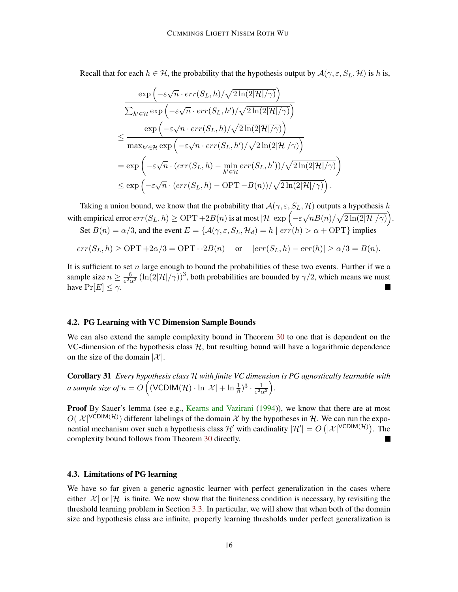Recall that for each  $h \in \mathcal{H}$ , the probability that the hypothesis output by  $\mathcal{A}(\gamma,\varepsilon, S_L, \mathcal{H})$  is h is,

$$
\frac{\exp\left(-\varepsilon\sqrt{n}\cdot err(S_L, h)/\sqrt{2\ln(2|\mathcal{H}|/\gamma)}\right)}{\sum_{h'\in\mathcal{H}}\exp\left(-\varepsilon\sqrt{n}\cdot err(S_L, h')/\sqrt{2\ln(2|\mathcal{H}|/\gamma)}\right)}
$$
\n
$$
\leq \frac{\exp\left(-\varepsilon\sqrt{n}\cdot err(S_L, h)/\sqrt{2\ln(2|\mathcal{H}|/\gamma)}\right)}{\max_{h'\in\mathcal{H}}\exp\left(-\varepsilon\sqrt{n}\cdot err(S_L, h')/\sqrt{2\ln(2|\mathcal{H}|/\gamma)}\right)}
$$
\n
$$
= \exp\left(-\varepsilon\sqrt{n}\cdot\left(err(S_L, h) - \min_{h'\in\mathcal{H}}err(S_L, h')\right)/\sqrt{2\ln(2|\mathcal{H}|/\gamma)}\right)
$$
\n
$$
\leq \exp\left(-\varepsilon\sqrt{n}\cdot\left(err(S_L, h) - \text{OPT} - B(n)\right)/\sqrt{2\ln(2|\mathcal{H}|/\gamma)}\right).
$$

Taking a union bound, we know that the probability that  $\mathcal{A}(\gamma,\varepsilon, S_L, \mathcal{H})$  outputs a hypothesis h with empirical error  $err(S_L, h) \geq \text{OPT} + 2B(n)$  is at most  $|\mathcal{H}| \exp(-\varepsilon \sqrt{n}B(n)/\sqrt{2\ln(2|\mathcal{H}|/\gamma)})$ .

Set  $B(n) = \alpha/3$ , and the event  $E = \{A(\gamma, \varepsilon, S_L, \mathcal{H}_d) = h \mid err(h) > \alpha + \text{OPT}\}\$ implies

$$
err(S_L, h) \ge \text{OPT} + 2\alpha/3 = \text{OPT} + 2B(n)
$$
 or  $|err(S_L, h) - err(h)| \ge \alpha/3 = B(n)$ .

It is sufficient to set  $n$  large enough to bound the probabilities of these two events. Further if we a sample size  $n \geq \frac{6}{526}$  $\frac{6}{\varepsilon^2 \alpha^2} (\ln(2|\mathcal{H}|/\gamma))^3$ , both probabilities are bounded by  $\gamma/2$ , which means we must have  $Pr[E] \leq \gamma$ .

#### 4.2. PG Learning with VC Dimension Sample Bounds

We can also extend the sample complexity bound in Theorem [30](#page-14-0) to one that is dependent on the VC-dimension of the hypothesis class  $H$ , but resulting bound will have a logarithmic dependence on the size of the domain  $|\mathcal{X}|$ .

Corollary 31 *Every hypothesis class* H *with finite VC dimension is PG agnostically learnable with a sample size of n* =  $O\left( (\mathsf{VCDIM}(\mathcal{H}) \cdot \ln |\mathcal{X}| + \ln \frac{1}{\beta})^3 \cdot \frac{1}{\varepsilon^2 c} \right)$  $\frac{1}{\varepsilon^2 \alpha^2}$ .

Proof By Sauer's lemma (see e.g., [Kearns and Vazirani](#page-26-1) [\(1994\)](#page-26-1)), we know that there are at most  $O(|\mathcal{X}|^{VCDIM(\mathcal{H}))}$  different labelings of the domain X by the hypotheses in H. We can run the exponential mechanism over such a hypothesis class  $\mathcal{H}'$  with cardinality  $|\mathcal{H}'| = O(|\mathcal{X}|^{VCDIM(\mathcal{H})})$ . The complexity bound follows from Theorem [30](#page-14-0) directly.  $\overline{\phantom{a}}$ 

# 4.3. Limitations of PG learning

We have so far given a generic agnostic learner with perfect generalization in the cases where either  $|\mathcal{X}|$  or  $|\mathcal{H}|$  is finite. We now show that the finiteness condition is necessary, by revisiting the threshold learning problem in Section [3.3.](#page-11-0) In particular, we will show that when both of the domain size and hypothesis class are infinite, properly learning thresholds under perfect generalization is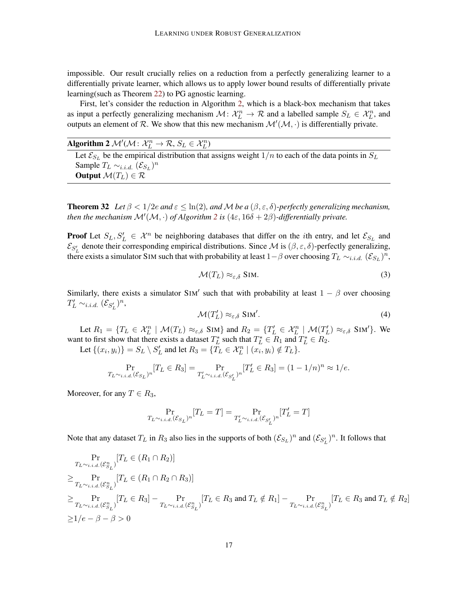impossible. Our result crucially relies on a reduction from a perfectly generalizing learner to a differentially private learner, which allows us to apply lower bound results of differentially private learning(such as Theorem [22\)](#page-11-1) to PG agnostic learning.

First, let's consider the reduction in Algorithm [2,](#page-16-0) which is a black-box mechanism that takes as input a perfectly generalizing mechanism  $\mathcal{M}$ :  $\mathcal{X}_L^n \to \mathcal{R}$  and a labelled sample  $S_L \in \mathcal{X}_L^n$ , and outputs an element of R. We show that this new mechanism  $\mathcal{M}'(\mathcal{M},\cdot)$  is differentially private.

<span id="page-16-0"></span>Algorithm 2  $\mathcal{M}'(\mathcal{M}: \mathcal{X}_L^n \to \mathcal{R}, S_L \in \mathcal{X}_L^n)$ Let  $\mathcal{E}_{S_L}$  be the empirical distribution that assigns weight  $1/n$  to each of the data points in  $S_L$ Sample  $T_L \sim_{i.i.d.} (\mathcal{E}_{S_L})^n$ 

Output  $\mathcal{M}(T_L) \in \mathcal{R}$ 

<span id="page-16-1"></span>**Theorem 32** Let  $\beta < 1/2e$  and  $\varepsilon \leq \ln(2)$ , and M be a  $(\beta, \varepsilon, \delta)$ -perfectly generalizing mechanism, *then the mechanism*  $\mathcal{M}'(\mathcal{M}, \cdot)$  *of Algorithm* [2](#page-16-0) *is* (4 $\varepsilon$ , 16 $\delta$  + 2 $\beta$ )-differentially private.

**Proof** Let  $S_L, S'_L \in \mathcal{X}^n$  be neighboring databases that differ on the *i*th entry, and let  $\mathcal{E}_{S_L}$  and  $\mathcal{E}_{S'_L}$  denote their corresponding empirical distributions. Since M is  $(\beta, \varepsilon, \delta)$ -perfectly generalizing, there exists a simulator SIM such that with probability at least  $1-\beta$  over choosing  $T_L \sim_{i.i.d.} (\mathcal{E}_{S_L})^n$ ,

$$
\mathcal{M}(T_L) \approx_{\varepsilon, \delta} \text{SIM.} \tag{3}
$$

Similarly, there exists a simulator SIM' such that with probability at least  $1 - \beta$  over choosing  $T'_{L} \sim_{i.i.d.} (\mathcal{E}_{S'_L})^n$ 

$$
\mathcal{M}(T'_L) \approx_{\varepsilon,\delta} \text{SIM}'.\tag{4}
$$

Let  $R_1 = \{T_L \in \mathcal{X}_L^n \mid \mathcal{M}(T_L) \approx_{\varepsilon,\delta} SIM\}$  and  $R_2 = \{T_L' \in \mathcal{X}_L^n \mid \mathcal{M}(T_L') \approx_{\varepsilon,\delta} SIM'\}$ . We want to first show that there exists a dataset  $T_L^*$  such that  $T_L^* \in R_1$  and  $T_L^* \in R_2$ .

Let  $\{(x_i, y_i)\}=S_L\setminus S'_L$  and let  $R_3=\{T_L\in \mathcal{X}_L^n\mid (x_i, y_i)\notin T_L\}.$ 

$$
\Pr_{T_L\sim_{i.i.d.}(\mathcal{E}_{S_L})^n}[T_L\in R_3]=\Pr_{T'_L\sim_{i.i.d.}(\mathcal{E}_{S'_L})^n}[T'_L\in R_3]=(1-1/n)^n\approx 1/e.
$$

Moreover, for any  $T \in R_3$ ,

$$
\Pr_{T_L \sim_{i.i.d.} (\mathcal{E}_{S_L})^n}[T_L = T] = \Pr_{T'_L \sim_{i.i.d.} (\mathcal{E}_{S'_L})^n}[T'_L = T]
$$

Note that any dataset  $T_L$  in  $R_3$  also lies in the supports of both  $(\mathcal{E}_{S_L})^n$  and  $(\mathcal{E}_{S'_L})^n$ . It follows that

$$
\Pr_{T_L \sim_{i.i.d.} (\mathcal{E}_{S_L}^n)} [T_L \in (R_1 \cap R_2)]
$$
\n
$$
\geq \Pr_{T_L \sim_{i.i.d.} (\mathcal{E}_{S_L}^n)} [T_L \in (R_1 \cap R_2 \cap R_3)]
$$
\n
$$
\geq \Pr_{T_L \sim_{i.i.d.} (\mathcal{E}_{S_L}^n)} [T_L \in R_3] - \Pr_{T_L \sim_{i.i.d.} (\mathcal{E}_{S_L}^n)} [T_L \in R_3 \text{ and } T_L \notin R_1] - \Pr_{T_L \sim_{i.i.d.} (\mathcal{E}_{S_L}^n)} [T_L \in R_3 \text{ and } T_L \notin R_2]
$$
\n
$$
\geq 1/e - \beta - \beta > 0
$$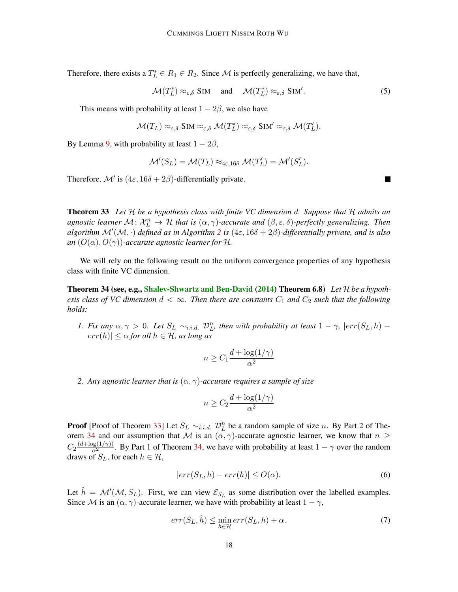Therefore, there exists a  $T_L^* \in R_1 \in R_2$ . Since M is perfectly generalizing, we have that,

$$
\mathcal{M}(T_L^*) \approx_{\varepsilon,\delta} \text{SIM} \quad \text{and} \quad \mathcal{M}(T_L^*) \approx_{\varepsilon,\delta} \text{SIM}'.
$$
 (5)

This means with probability at least  $1 - 2\beta$ , we also have

$$
\mathcal{M}(T_L) \approx_{\varepsilon,\delta} \text{Sim} \approx_{\varepsilon,\delta} \mathcal{M}(T_L^*) \approx_{\varepsilon,\delta} \text{Sim}' \approx_{\varepsilon,\delta} \mathcal{M}(T_L').
$$

By Lemma [9,](#page-6-2) with probability at least  $1 - 2\beta$ ,

$$
\mathcal{M}'(S_L) = \mathcal{M}(T_L) \approx_{4\varepsilon, 16\delta} \mathcal{M}(T'_L) = \mathcal{M}'(S'_L).
$$

Therefore,  $\mathcal{M}'$  is  $(4\varepsilon, 16\delta + 2\beta)$ -differentially private.

<span id="page-17-0"></span>Theorem 33 *Let* H *be a hypothesis class with finite VC dimension* d*. Suppose that* H *admits an agnostic learner*  $\mathcal{M}$ :  $\mathcal{X}_L^n \to \mathcal{H}$  *that is*  $(\alpha, \gamma)$ -accurate and  $(\beta, \varepsilon, \delta)$ -perfectly generalizing. Then *algorithm* M<sup>0</sup> (M, ·) *defined as in Algorithm [2](#page-16-0) is* (4ε, 16δ + 2β)*-differentially private, and is also an*  $(O(\alpha), O(\gamma))$ -accurate agnostic learner for H.

We will rely on the following result on the uniform convergence properties of any hypothesis class with finite VC dimension.

<span id="page-17-1"></span>Theorem 34 (see, e.g., [Shalev-Shwartz and Ben-David](#page-26-4) [\(2014\)](#page-26-4) Theorem 6.8) *Let* H *be a hypothesis class of VC dimension*  $d < \infty$ . Then there are constants  $C_1$  and  $C_2$  such that the following *holds:*

*1. Fix any*  $\alpha, \gamma > 0$ *. Let*  $S_L \sim_{i.i.d.} \mathcal{D}_L^n$ , then with probability at least  $1 - \gamma$ ,  $|err(S_L, h) |err(h)| \leq \alpha$  for all  $h \in \mathcal{H}$ , as long as

$$
n \ge C_1 \frac{d + \log(1/\gamma)}{\alpha^2}
$$

*2. Any agnostic learner that is* (α, γ)*-accurate requires a sample of size*

$$
n \ge C_2 \frac{d + \log(1/\gamma)}{\alpha^2}
$$

**Proof** [Proof of Theorem [33\]](#page-17-0) Let  $S_L \sim_{i.i.d.} \mathcal{D}_L^n$  be a random sample of size n. By Part 2 of The-orem [34](#page-17-1) and our assumption that M is an  $(\alpha, \gamma)$ -accurate agnostic learner, we know that  $n \geq$  $C_2 \frac{(d + \log(1/\gamma))}{\alpha^2}$ . By Part 1 of Theorem [34,](#page-17-1) we have with probability at least  $1 - \gamma$  over the random draws of  $S_L$ , for each  $h \in \mathcal{H}$ ,

<span id="page-17-2"></span>
$$
|err(S_L, h) - err(h)| \le O(\alpha). \tag{6}
$$

Let  $\hat{h} = \mathcal{M}'(\mathcal{M}, S_L)$ . First, we can view  $\mathcal{E}_{S_L}$  as some distribution over the labelled examples. Since M is an  $(\alpha, \gamma)$ -accurate learner, we have with probability at least  $1 - \gamma$ ,

<span id="page-17-3"></span>
$$
err(S_L, \hat{h}) \le \min_{h \in \mathcal{H}} err(S_L, h) + \alpha. \tag{7}
$$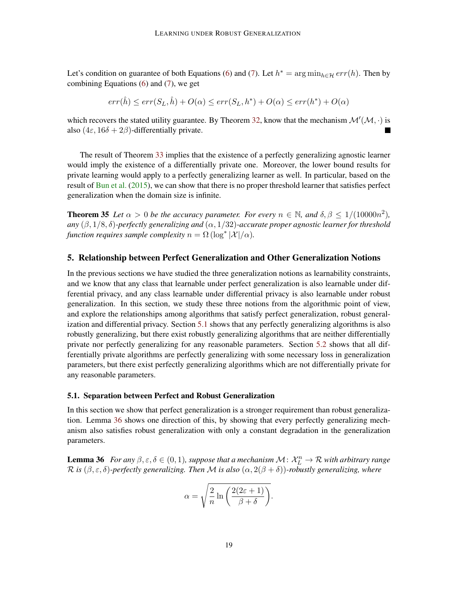Let's condition on guarantee of both Equations [\(6\)](#page-17-2) and [\(7\)](#page-17-3). Let  $h^* = \arg \min_{h \in \mathcal{H}} err(h)$ . Then by combining Equations [\(6\)](#page-17-2) and [\(7\)](#page-17-3), we get

$$
err(\hat{h}) \leq err(S_L, \hat{h}) + O(\alpha) \leq err(S_L, h^*) + O(\alpha) \leq err(h^*) + O(\alpha)
$$

which recovers the stated utility guarantee. By Theorem [32,](#page-16-1) know that the mechanism  $\mathcal{M}'(\mathcal{M},\cdot)$  is also  $(4\varepsilon, 16\delta + 2\beta)$ -differentially private. ٠

The result of Theorem [33](#page-17-0) implies that the existence of a perfectly generalizing agnostic learner would imply the existence of a differentially private one. Moreover, the lower bound results for private learning would apply to a perfectly generalizing learner as well. In particular, based on the result of [Bun et al.](#page-25-10) [\(2015\)](#page-25-10), we can show that there is no proper threshold learner that satisfies perfect generalization when the domain size is infinite.

**Theorem 35** *Let*  $\alpha > 0$  *be the accuracy parameter. For every*  $n \in \mathbb{N}$ *, and*  $\delta, \beta \leq 1/(10000n^2)$ *, any* (β, 1/8, δ)*-perfectly generalizing and* (α, 1/32)*-accurate proper agnostic learner for threshold function requires sample complexity*  $n = \Omega(\log^*|\mathcal{X}|/\alpha)$ *.* 

#### 5. Relationship between Perfect Generalization and Other Generalization Notions

In the previous sections we have studied the three generalization notions as learnability constraints, and we know that any class that learnable under perfect generalization is also learnable under differential privacy, and any class learnable under differential privacy is also learnable under robust generalization. In this section, we study these three notions from the algorithmic point of view, and explore the relationships among algorithms that satisfy perfect generalization, robust generalization and differential privacy. Section [5.1](#page-18-0) shows that any perfectly generalizing algorithms is also robustly generalizing, but there exist robustly generalizing algorithms that are neither differentially private nor perfectly generalizing for any reasonable parameters. Section [5.2](#page-20-0) shows that all differentially private algorithms are perfectly generalizing with some necessary loss in generalization parameters, but there exist perfectly generalizing algorithms which are not differentially private for any reasonable parameters.

#### <span id="page-18-0"></span>5.1. Separation between Perfect and Robust Generalization

In this section we show that perfect generalization is a stronger requirement than robust generalization. Lemma [36](#page-18-1) shows one direction of this, by showing that every perfectly generalizing mechanism also satisfies robust generalization with only a constant degradation in the generalization parameters.

<span id="page-18-1"></span>**Lemma 36** For any  $\beta, \varepsilon, \delta \in (0, 1)$ , suppose that a mechanism  $\mathcal{M} \colon \mathcal{X}_L^n \to \mathcal{R}$  with arbitrary range  $\mathcal R$  *is* ( $\beta$ ,  $\varepsilon$ ,  $\delta$ )-perfectly generalizing. Then M *is also* ( $\alpha$ ,  $2(\beta + \delta)$ )-robustly generalizing, where

$$
\alpha = \sqrt{\frac{2}{n} \ln \left( \frac{2(2\varepsilon + 1)}{\beta + \delta} \right)}.
$$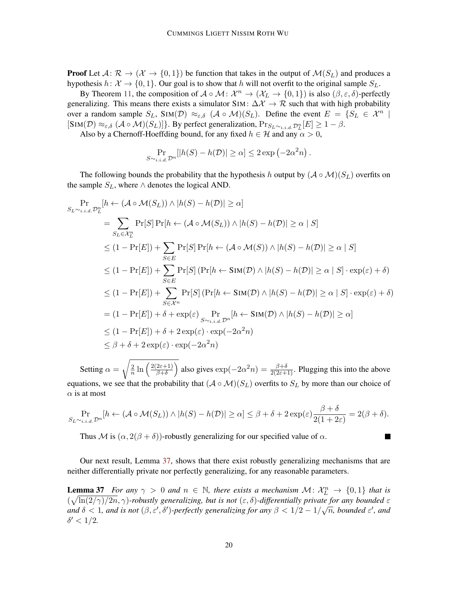**Proof** Let  $A: \mathcal{R} \to (\mathcal{X} \to \{0,1\})$  be function that takes in the output of  $\mathcal{M}(S_L)$  and produces a hypothesis  $h: \mathcal{X} \to \{0, 1\}$ . Our goal is to show that h will not overfit to the original sample  $S_L$ .

By Theorem [11,](#page-7-2) the composition of  $A \circ \mathcal{M}$ :  $\mathcal{X}^n \to (\mathcal{X}_L \to \{0,1\})$  is also  $(\beta, \varepsilon, \delta)$ -perfectly generalizing. This means there exists a simulator SIM:  $\Delta \mathcal{X} \rightarrow \mathcal{R}$  such that with high probability over a random sample  $S_L$ , SIM(D)  $\approx_{\varepsilon,\delta}$  ( $\mathcal{A} \circ \mathcal{M}$ )( $S_L$ ). Define the event  $E = \{S_L \in \mathcal{X}^n |$  $[\text{Sim}(\mathcal{D}) \approx_{\varepsilon,\delta} (\mathcal{A} \circ \mathcal{M})(S_L)]\}.$  By perfect generalization,  $\Pr_{S_L \sim_{i.i.d.} \mathcal{D}_L^n}[E] \geq 1 - \beta.$ 

Also by a Chernoff-Hoeffding bound, for any fixed  $h \in \mathcal{H}$  and any  $\alpha > 0$ ,

$$
\Pr_{S \sim_{i.i.d.} \mathcal{D}^n} [|h(S) - h(\mathcal{D})| \ge \alpha] \le 2 \exp(-2\alpha^2 n).
$$

The following bounds the probability that the hypothesis h output by  $(A \circ M)(S_L)$  overfits on the sample  $S_L$ , where  $\wedge$  denotes the logical AND.

$$
\Pr_{S_L \sim_{i.i.d.} D_L^n} [h \leftarrow (\mathcal{A} \circ \mathcal{M}(S_L)) \wedge |h(S) - h(D)| \ge \alpha]
$$
\n
$$
= \sum_{S_L \in \mathcal{X}_L^n} \Pr[S] \Pr[h \leftarrow (\mathcal{A} \circ \mathcal{M}(S_L)) \wedge |h(S) - h(D)| \ge \alpha | S]
$$
\n
$$
\le (1 - \Pr[E]) + \sum_{S \in E} \Pr[S] \Pr[h \leftarrow (\mathcal{A} \circ \mathcal{M}(S)) \wedge |h(S) - h(D)| \ge \alpha | S]
$$
\n
$$
\le (1 - \Pr[E]) + \sum_{S \in E} \Pr[S] \left( \Pr[h \leftarrow \text{SIM}(\mathcal{D}) \wedge |h(S) - h(D)| \ge \alpha | S] \cdot \exp(\varepsilon) + \delta \right)
$$
\n
$$
\le (1 - \Pr[E]) + \sum_{S \in \mathcal{X}^n} \Pr[S] \left( \Pr[h \leftarrow \text{SIM}(\mathcal{D}) \wedge |h(S) - h(D)| \ge \alpha | S] \cdot \exp(\varepsilon) + \delta \right)
$$
\n
$$
= (1 - \Pr[E]) + \delta + \exp(\varepsilon) \sum_{S \sim_{i.i.d.} \mathcal{D}^n} [h \leftarrow \text{SIM}(\mathcal{D}) \wedge |h(S) - h(D)| \ge \alpha]
$$
\n
$$
\le (1 - \Pr[E]) + \delta + 2 \exp(\varepsilon) \cdot \exp(-2\alpha^2 n)
$$
\n
$$
\le \beta + \delta + 2 \exp(\varepsilon) \cdot \exp(-2\alpha^2 n)
$$

Setting  $\alpha =$  $\sqrt{2}$  $rac{2}{n}\ln\left(\frac{2(2\varepsilon+1)}{\beta+\delta}\right)$  $\frac{(2\varepsilon+1)}{\beta+\delta}$  also gives  $\exp(-2\alpha^2 n) = \frac{\beta+\delta}{2(2\varepsilon+1)}$ . Plugging this into the above equations, we see that the probability that  $(A \circ M)(S_L)$  overfits to  $S_L$  by more than our choice of  $\alpha$  is at most

$$
\Pr_{S_L \sim_{i.i.d.} \mathcal{D}^n} [h \leftarrow (\mathcal{A} \circ \mathcal{M}(S_L)) \wedge |h(S) - h(\mathcal{D})| \ge \alpha] \le \beta + \delta + 2 \exp(\varepsilon) \frac{\beta + \delta}{2(1 + 2\varepsilon)} = 2(\beta + \delta).
$$

 $\blacksquare$ 

Thus M is  $(\alpha, 2(\beta + \delta))$ -robustly generalizing for our specified value of  $\alpha$ .

Our next result, Lemma [37,](#page-19-0) shows that there exist robustly generalizing mechanisms that are neither differentially private nor perfectly generalizing, for any reasonable parameters.

<span id="page-19-0"></span>**Lemma 37** For any  $\gamma > 0$  and  $n \in \mathbb{N}$ , there exists a mechanism  $\mathcal{M} \colon \mathcal{X}_L^n \to \{0,1\}$  that is  $\left(\sqrt{\ln(2/\gamma)/2n}, \gamma\right)$ *-robustly generalizing, but is not*  $(\varepsilon, \delta)$ *-differentially private for any bounded*  $\varepsilon$ *and*  $\delta$  < 1, and is not  $(\beta, \varepsilon', \delta')$ -perfectly generalizing for any  $\beta$  <  $1/2 - 1/\sqrt{n}$ , bounded  $\varepsilon'$ , and  $\delta' < 1/2$ .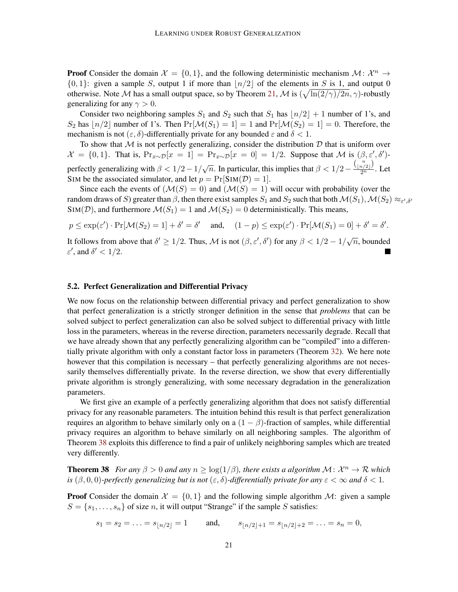**Proof** Consider the domain  $\mathcal{X} = \{0, 1\}$ , and the following deterministic mechanism  $\mathcal{M} \colon \mathcal{X}^n \to$  $\{0, 1\}$ : given a sample S, output 1 if more than  $\lfloor n/2 \rfloor$  of the elements in S is 1, and output 0 otherwise. Note M has a small output space, so by Theorem [21,](#page-10-1) M is  $(\sqrt{\ln(2/\gamma)/2n}, \gamma)$ -robustly generalizing for any  $\gamma > 0$ .

Consider two neighboring samples  $S_1$  and  $S_2$  such that  $S_1$  has  $\lfloor n/2 \rfloor + 1$  number of 1's, and  $S_2$  has  $|n/2|$  number of 1's. Then  $Pr[\mathcal{M}(S_1) = 1] = 1$  and  $Pr[\mathcal{M}(S_2) = 1] = 0$ . Therefore, the mechanism is not  $(\varepsilon, \delta)$ -differentially private for any bounded  $\varepsilon$  and  $\delta < 1$ .

To show that  $M$  is not perfectly generalizing, consider the distribution  $D$  that is uniform over  $\mathcal{X} = \{0, 1\}$ . That is,  $Pr_{x \sim \mathcal{D}}[x = 1] = Pr_{x \sim \mathcal{D}}[x = 0] = 1/2$ . Suppose that M is  $(\beta, \varepsilon', \delta')$ perfectly generalizing with  $\beta < 1/2 - 1/\sqrt{n}$ . In particular, this implies that  $\beta < 1/2 - \frac{\binom{n}{\lfloor n/2 \rfloor}}{2^n}$ . Let SIM be the associated simulator, and let  $p = Pr[SIM(\mathcal{D}) = 1]$ .

Since each the events of  $(M(S) = 0)$  and  $(M(S) = 1)$  will occur with probability (over the random draws of  $S$ ) greater than  $\beta$ , then there exist samples  $S_1$  and  $S_2$  such that both  $\mathcal{M}(S_1),\mathcal{M}(S_2)\approx_{\varepsilon',\delta'}$ SIM(D), and furthermore  $\mathcal{M}(S_1) = 1$  and  $\mathcal{M}(S_2) = 0$  deterministically. This means,

$$
p \le \exp(\varepsilon') \cdot \Pr[\mathcal{M}(S_2) = 1] + \delta' = \delta' \quad \text{ and,} \quad (1 - p) \le \exp(\varepsilon') \cdot \Pr[\mathcal{M}(S_1) = 0] + \delta' = \delta'.
$$

It follows from above that  $\delta' \geq 1/2$ . Thus, M is not  $(\beta, \varepsilon', \delta')$  for any  $\beta < 1/2 - 1/\sqrt{n}$ , bounded  $\varepsilon'$ , and  $\delta' < 1/2$ .

#### <span id="page-20-0"></span>5.2. Perfect Generalization and Differential Privacy

We now focus on the relationship between differential privacy and perfect generalization to show that perfect generalization is a strictly stronger definition in the sense that *problems* that can be solved subject to perfect generalization can also be solved subject to differential privacy with little loss in the parameters, whereas in the reverse direction, parameters necessarily degrade. Recall that we have already shown that any perfectly generalizing algorithm can be "compiled" into a differentially private algorithm with only a constant factor loss in parameters (Theorem [32\)](#page-16-1). We here note however that this compilation is necessary – that perfectly generalizing algorithms are not necessarily themselves differentially private. In the reverse direction, we show that every differentially private algorithm is strongly generalizing, with some necessary degradation in the generalization parameters.

We first give an example of a perfectly generalizing algorithm that does not satisfy differential privacy for any reasonable parameters. The intuition behind this result is that perfect generalization requires an algorithm to behave similarly only on a  $(1 - \beta)$ -fraction of samples, while differential privacy requires an algorithm to behave similarly on all neighboring samples. The algorithm of Theorem [38](#page-20-1) exploits this difference to find a pair of unlikely neighboring samples which are treated very differently.

<span id="page-20-1"></span>**Theorem 38** *For any*  $\beta > 0$  *and any*  $n \geq \log(1/\beta)$ *, there exists a algorithm*  $\mathcal{M}: \mathcal{X}^n \to \mathcal{R}$  *which is*  $(\beta, 0, 0)$ *-perfectly generalizing but is not*  $(\varepsilon, \delta)$ *-differentially private for any*  $\varepsilon < \infty$  *and*  $\delta < 1$ *.* 

**Proof** Consider the domain  $\mathcal{X} = \{0, 1\}$  and the following simple algorithm  $\mathcal{M}$ : given a sample  $S = \{s_1, \ldots, s_n\}$  of size *n*, it will output "Strange" if the sample *S* satisfies:

$$
s_1 = s_2 = \ldots = s_{\lfloor n/2 \rfloor} = 1
$$
 and,  $s_{\lfloor n/2 \rfloor + 1} = s_{\lfloor n/2 \rfloor + 2} = \ldots = s_n = 0$ ,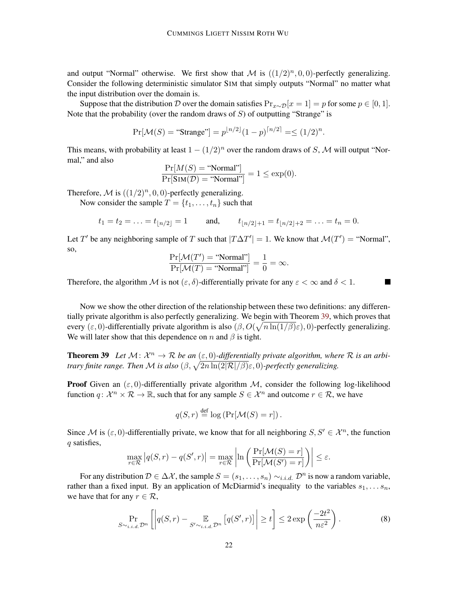and output "Normal" otherwise. We first show that M is  $((1/2)^n, 0, 0)$ -perfectly generalizing. Consider the following deterministic simulator SIM that simply outputs "Normal" no matter what the input distribution over the domain is.

Suppose that the distribution D over the domain satisfies  $Pr_{x \sim \mathcal{D}}[x = 1] = p$  for some  $p \in [0, 1]$ . Note that the probability (over the random draws of  $S$ ) of outputting "Strange" is

$$
\Pr[\mathcal{M}(S) = \text{``Strange''}] = p^{\lfloor n/2 \rfloor} (1-p)^{\lceil n/2 \rceil} = \le (1/2)^n.
$$

This means, with probability at least  $1 - (1/2)^n$  over the random draws of S, M will output "Normal," and also

$$
\frac{\Pr[M(S) = "Normal"]}{\Pr[\text{SIM}(\mathcal{D}) = "Normal"]} = 1 \le \exp(0).
$$

Therefore, M is  $((1/2)^n, 0, 0)$ -perfectly generalizing.

Now consider the sample  $T = \{t_1, \ldots, t_n\}$  such that

$$
t_1 = t_2 = \ldots = t_{\lfloor n/2 \rfloor} = 1
$$
 and,  $t_{\lfloor n/2 \rfloor + 1} = t_{\lfloor n/2 \rfloor + 2} = \ldots = t_n = 0.$ 

Let T' be any neighboring sample of T such that  $|T\Delta T'| = 1$ . We know that  $\mathcal{M}(T') =$  "Normal", so,

$$
\frac{\Pr[\mathcal{M}(T') = \text{``Normal''}]}{\Pr[\mathcal{M}(T) = \text{``Normal''}]} = \frac{1}{0} = \infty.
$$

П

Therefore, the algorithm M is not  $(\varepsilon, \delta)$ -differentially private for any  $\varepsilon < \infty$  and  $\delta < 1$ .

Now we show the other direction of the relationship between these two definitions: any differentially private algorithm is also perfectly generalizing. We begin with Theorem [39,](#page-21-0) which proves that every  $(\varepsilon, 0)$ -differentially private algorithm is also  $(\beta, O(\sqrt{n \ln(1/\beta)}\varepsilon), 0)$ -perfectly generalizing. We will later show that this dependence on n and  $\beta$  is tight.

<span id="page-21-0"></span>**Theorem 39** Let  $M: \mathcal{X}^n \to \mathcal{R}$  be an  $(\varepsilon, 0)$ -differentially private algorithm, where  $\mathcal R$  is an arbi*trary finite range. Then M is also*  $(\beta, \sqrt{2n \ln(2|\mathcal{R}|/\beta)}\varepsilon, 0)$ *-perfectly generalizing.* 

**Proof** Given an  $(\varepsilon, 0)$ -differentially private algorithm M, consider the following log-likelihood function  $q: \mathcal{X}^n \times \mathcal{R} \to \mathbb{R}$ , such that for any sample  $S \in \mathcal{X}^n$  and outcome  $r \in \mathcal{R}$ , we have

$$
q(S,r) \stackrel{\text{def}}{=} \log \left( \Pr[\mathcal{M}(S) = r] \right).
$$

Since M is  $(\varepsilon, 0)$ -differentially private, we know that for all neighboring  $S, S' \in \mathcal{X}^n$ , the function q satisfies,

$$
\max_{r \in \mathcal{R}} |q(S,r) - q(S',r)| = \max_{r \in \mathcal{R}} \left| \ln \left( \frac{\Pr[\mathcal{M}(S) = r]}{\Pr[\mathcal{M}(S') = r]} \right) \right| \le \varepsilon.
$$

For any distribution  $\mathcal{D} \in \Delta \mathcal{X}$ , the sample  $S = (s_1, \ldots, s_n) \sim_{i.i.d.} \mathcal{D}^n$  is now a random variable, rather than a fixed input. By an application of McDiarmid's inequality to the variables  $s_1, \ldots s_n$ , we have that for any  $r \in \mathcal{R}$ ,

<span id="page-21-1"></span>
$$
\Pr_{S \sim i.i.d.} \mathcal{D}^n \left[ \left| q(S,r) - \mathop{\mathbb{E}}_{S' \sim i.i.d.} \mathcal{D}^n \left[ q(S',r) \right] \right| \ge t \right] \le 2 \exp\left(\frac{-2t^2}{n\varepsilon^2}\right). \tag{8}
$$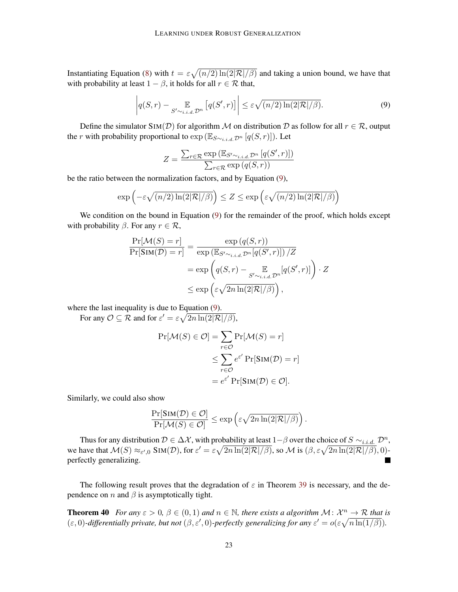Instantiating Equation [\(8\)](#page-21-1) with  $t = \epsilon \sqrt{(n/2) \ln(2/\mathcal{R})/3}$  and taking a union bound, we have that with probability at least  $1 - \beta$ , it holds for all  $r \in \mathcal{R}$  that,

<span id="page-22-1"></span>
$$
\left| q(S,r) - \underset{S' \sim i.i.d. \mathcal{D}^n}{\mathbb{E}} \left[ q(S',r) \right] \right| \leq \varepsilon \sqrt{(n/2) \ln(2|\mathcal{R}|/\beta)}.
$$
\n(9)

Define the simulator SIM(D) for algorithm M on distribution D as follow for all  $r \in \mathcal{R}$ , output the r with probability proportional to  $\exp\left(\mathbb{E}_{S \sim i.i.d} \mathcal{D}^n\left[q(S,r)\right]\right)$ . Let

$$
Z = \frac{\sum_{r \in \mathcal{R}} \exp\left(\mathbb{E}_{S' \sim i.i.d.} \mathcal{D}^n \left[ q(S', r) \right] \right)}{\sum_{r \in \mathcal{R}} \exp\left( q(S, r) \right)}
$$

be the ratio between the normalization factors, and by Equation [\(9\)](#page-22-1),

$$
\exp\left(-\varepsilon\sqrt{(n/2)\ln(2|\mathcal{R}|/\beta)}\right) \le Z \le \exp\left(\varepsilon\sqrt{(n/2)\ln(2|\mathcal{R}|/\beta)}\right)
$$

We condition on the bound in Equation [\(9\)](#page-22-1) for the remainder of the proof, which holds except with probability  $\beta$ . For any  $r \in \mathcal{R}$ ,

$$
\frac{\Pr[\mathcal{M}(S) = r]}{\Pr[\text{SIM}(\mathcal{D}) = r]} = \frac{\exp (q(S, r))}{\exp (\mathbb{E}_{S' \sim i.i.d.} \mathcal{D}^n[q(S', r)]) / Z}
$$

$$
= \exp \left(q(S, r) - \mathbb{E}_{S' \sim i.i.d.} \mathcal{D}^n[q(S', r)]\right) \cdot Z
$$

$$
\leq \exp \left(\varepsilon \sqrt{2n \ln(2|\mathcal{R}|/\beta)}\right),
$$

where the last inequality is due to Equation [\(9\)](#page-22-1).

For any  $\mathcal{O} \subseteq \mathcal{R}$  and for  $\varepsilon' = \varepsilon \sqrt{2n \ln(2|\mathcal{R}|/\beta)}$ ,

$$
\Pr[\mathcal{M}(S) \in \mathcal{O}] = \sum_{r \in \mathcal{O}} \Pr[\mathcal{M}(S) = r]
$$

$$
\leq \sum_{r \in \mathcal{O}} e^{\varepsilon'} \Pr[\text{SIM}(\mathcal{D}) = r]
$$

$$
= e^{\varepsilon'} \Pr[\text{SIM}(\mathcal{D}) \in \mathcal{O}].
$$

Similarly, we could also show

$$
\frac{\Pr[\text{Sim}(\mathcal{D}) \in \mathcal{O}]}{\Pr[\mathcal{M}(S) \in \mathcal{O}]} \le \exp\left(\varepsilon \sqrt{2n \ln(2|\mathcal{R}|/\beta)}\right).
$$

Thus for any distribution  $\mathcal{D} \in \Delta \mathcal{X}$ , with probability at least  $1-\beta$  over the choice of  $S \sim_{i.i.d.} \mathcal{D}^n$ , we have that  $\mathcal{M}(S) \approx_{\varepsilon',0} \text{Sim}(\mathcal{D})$ , for  $\varepsilon' = \varepsilon \sqrt{2n \ln(2|\mathcal{R}|/\beta)}$ , so  $\mathcal{M}$  is  $(\beta, \varepsilon \sqrt{2n \ln(2|\mathcal{R}|/\beta)}, 0)$ perfectly generalizing. L.

The following result proves that the degradation of  $\varepsilon$  in Theorem [39](#page-21-0) is necessary, and the dependence on *n* and  $\beta$  is asymptotically tight.

<span id="page-22-0"></span>**Theorem 40** For any  $\varepsilon > 0$ ,  $\beta \in (0, 1)$  and  $n \in \mathbb{N}$ , there exists a algorithm  $\mathcal{M} \colon \mathcal{X}^n \to \mathcal{R}$  that is  $(\varepsilon, 0)$ -differentially private, but not  $(\beta, \varepsilon', 0)$ -perfectly generalizing for any  $\varepsilon' = o(\varepsilon \sqrt{n \ln(1/\beta)})$ .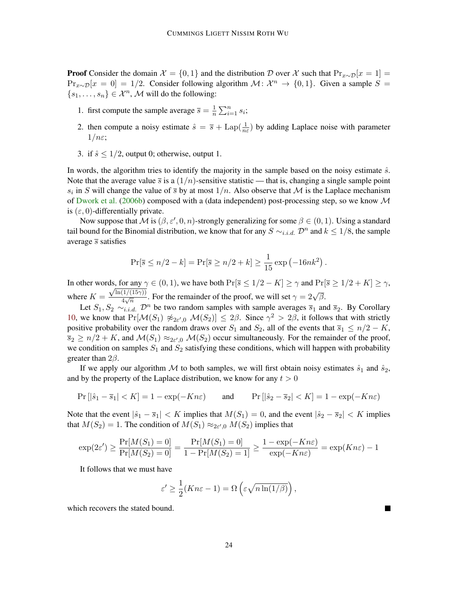**Proof** Consider the domain  $\mathcal{X} = \{0, 1\}$  and the distribution D over X such that  $Pr_{x \sim \mathcal{D}}[x = 1]$  $Pr_{x \sim \mathcal{D}}[x = 0] = 1/2$ . Consider following algorithm  $\mathcal{M}: \mathcal{X}^n \to \{0, 1\}$ . Given a sample  $S =$  ${s_1, \ldots, s_n} \in \mathcal{X}^n$ , M will do the following:

- 1. first compute the sample average  $\overline{s} = \frac{1}{n}$  $\frac{1}{n}\sum_{i=1}^n s_i;$
- 2. then compute a noisy estimate  $\hat{s} = \bar{s} + \text{Lap}(\frac{1}{n\epsilon})$  by adding Laplace noise with parameter  $1/n\varepsilon$ ;
- 3. if  $\hat{s}$  < 1/2, output 0; otherwise, output 1.

In words, the algorithm tries to identify the majority in the sample based on the noisy estimate  $\hat{s}$ . Note that the average value  $\bar{s}$  is a  $(1/n)$ -sensitive statistic — that is, changing a single sample point  $s_i$  in S will change the value of  $\overline{s}$  by at most  $1/n$ . Also observe that M is the Laplace mechanism of [Dwork et al.](#page-25-7) [\(2006b\)](#page-25-7) composed with a (data independent) post-processing step, so we know  $\mathcal M$ is  $(\varepsilon, 0)$ -differentially private.

Now suppose that M is  $(\beta, \varepsilon', 0, n)$ -strongly generalizing for some  $\beta \in (0, 1)$ . Using a standard tail bound for the Binomial distribution, we know that for any  $S \sim_{i.i.d.} \mathcal{D}^n$  and  $k \leq 1/8$ , the sample average  $\bar{s}$  satisfies

$$
\Pr[\bar{s} \le n/2 - k] = \Pr[\bar{s} \ge n/2 + k] \ge \frac{1}{15} \exp(-16nk^2).
$$

In other words, for any  $\gamma \in (0, 1)$ , we have both  $\Pr[\overline{s} \le 1/2 - K] \ge \gamma$  and  $\Pr[\overline{s} \ge 1/2 + K] \ge \gamma$ , where  $K = \frac{\sqrt{\ln(1/(15\gamma))}}{4\sqrt{n}}$  $\frac{\overline{(1/(15\gamma))}}{4\sqrt{n}}$ . For the remainder of the proof, we will set  $\gamma = 2\sqrt{\beta}$ .

Let  $S_1, S_2 \sim_{i.i.d.} \mathcal{D}^n$  be two random samples with sample averages  $\overline{s}_1$  and  $\overline{s}_2$ . By Corollary [10,](#page-6-1) we know that  $Pr[\mathcal{M}(S_1) \not\approx_{2\epsilon',0} \mathcal{M}(S_2)] \leq 2\beta$ . Since  $\gamma^2 > 2\beta$ , it follows that with strictly positive probability over the random draws over S<sub>1</sub> and S<sub>2</sub>, all of the events that  $\overline{s}_1 \leq n/2 - K$ ,  $\overline{s}_2 \ge n/2 + K$ , and  $\mathcal{M}(S_1) \approx_{2\varepsilon',0} \mathcal{M}(S_2)$  occur simultaneously. For the remainder of the proof, we condition on samples  $S_1$  and  $S_2$  satisfying these conditions, which will happen with probability greater than  $2\beta$ .

If we apply our algorithm M to both samples, we will first obtain noisy estimates  $\hat{s}_1$  and  $\hat{s}_2$ , and by the property of the Laplace distribution, we know for any  $t > 0$ 

$$
\Pr\left[|\hat{s}_1 - \overline{s}_1| < K\right] = 1 - \exp(-Kn\varepsilon) \qquad \text{and} \qquad \Pr\left[|\hat{s}_2 - \overline{s}_2| < K\right] = 1 - \exp(-Kn\varepsilon)
$$

Note that the event  $|\hat{s}_1 - \overline{s}_1| < K$  implies that  $M(S_1) = 0$ , and the event  $|\hat{s}_2 - \overline{s}_2| < K$  implies that  $M(S_2) = 1$ . The condition of  $M(S_1) \approx_{2\varepsilon',0} M(S_2)$  implies that

$$
\exp(2\varepsilon') \ge \frac{\Pr[M(S_1) = 0]}{\Pr[M(S_2) = 0]} = \frac{\Pr[M(S_1) = 0]}{1 - \Pr[M(S_2) = 1]} \ge \frac{1 - \exp(-Kn\varepsilon)}{\exp(-Kn\varepsilon)} = \exp(Kn\varepsilon) - 1
$$

It follows that we must have

$$
\varepsilon' \ge \frac{1}{2}(Kn\varepsilon - 1) = \Omega\left(\varepsilon\sqrt{n\ln(1/\beta)}\right),\,
$$

which recovers the stated bound.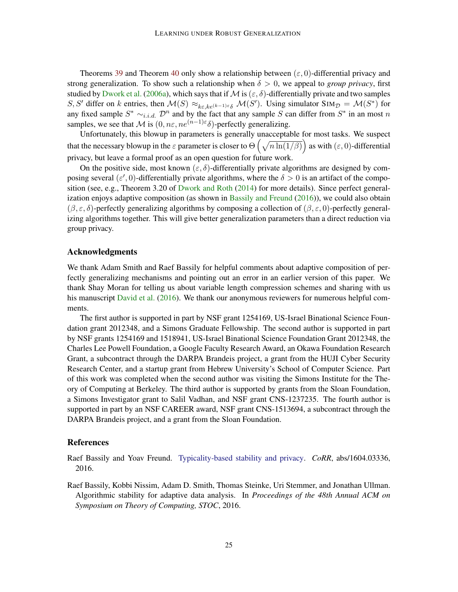Theorems [39](#page-21-0) and Theorem [40](#page-22-0) only show a relationship between  $(\varepsilon, 0)$ -differential privacy and strong generalization. To show such a relationship when  $\delta > 0$ , we appeal to *group privacy*, first studied by [Dwork et al.](#page-25-13) [\(2006a\)](#page-25-13), which says that if M is  $(\varepsilon, \delta)$ -differentially private and two samples S, S' differ on k entries, then  $\mathcal{M}(S) \approx_{k \in, k \in (k-1) \in \delta} \mathcal{M}(S')$ . Using simulator SIM $\mathcal{D} = \mathcal{M}(S^*)$  for any fixed sample  $S^* \sim_{i.i.d.} \mathcal{D}^n$  and by the fact that any sample S can differ from  $S^*$  in an most n samples, we see that M is  $(0, n\varepsilon, ne^{(n-1)\varepsilon}\delta)$ -perfectly generalizing.

Unfortunately, this blowup in parameters is generally unacceptable for most tasks. We suspect that the necessary blowup in the  $\varepsilon$  parameter is closer to  $\Theta\left(\sqrt{n\ln(1/\beta)}\right)$  as with  $(\varepsilon,0)$ -differential privacy, but leave a formal proof as an open question for future work.

On the positive side, most known  $(\varepsilon, \delta)$ -differentially private algorithms are designed by composing several  $(\epsilon', 0)$ -differentially private algorithms, where the  $\delta > 0$  is an artifact of the composition (see, e.g., Theorem 3.20 of [Dwork and Roth](#page-25-8) [\(2014\)](#page-25-8) for more details). Since perfect general-ization enjoys adaptive composition (as shown in [Bassily and Freund](#page-24-1)  $(2016)$ ), we could also obtain  $(\beta, \varepsilon, \delta)$ -perfectly generalizing algorithms by composing a collection of  $(\beta, \varepsilon, 0)$ -perfectly generalizing algorithms together. This will give better generalization parameters than a direct reduction via group privacy.

#### Acknowledgments

We thank Adam Smith and Raef Bassily for helpful comments about adaptive composition of perfectly generalizing mechanisms and pointing out an error in an earlier version of this paper. We thank Shay Moran for telling us about variable length compression schemes and sharing with us his manuscript [David et al.](#page-25-3) [\(2016\)](#page-25-3). We thank our anonymous reviewers for numerous helpful comments.

The first author is supported in part by NSF grant 1254169, US-Israel Binational Science Foundation grant 2012348, and a Simons Graduate Fellowship. The second author is supported in part by NSF grants 1254169 and 1518941, US-Israel Binational Science Foundation Grant 2012348, the Charles Lee Powell Foundation, a Google Faculty Research Award, an Okawa Foundation Research Grant, a subcontract through the DARPA Brandeis project, a grant from the HUJI Cyber Security Research Center, and a startup grant from Hebrew University's School of Computer Science. Part of this work was completed when the second author was visiting the Simons Institute for the Theory of Computing at Berkeley. The third author is supported by grants from the Sloan Foundation, a Simons Investigator grant to Salil Vadhan, and NSF grant CNS-1237235. The fourth author is supported in part by an NSF CAREER award, NSF grant CNS-1513694, a subcontract through the DARPA Brandeis project, and a grant from the Sloan Foundation.

#### References

<span id="page-24-1"></span>Raef Bassily and Yoav Freund. [Typicality-based stability and privacy.](http://arxiv.org/abs/1604.03336) *CoRR*, abs/1604.03336, 2016.

<span id="page-24-0"></span>Raef Bassily, Kobbi Nissim, Adam D. Smith, Thomas Steinke, Uri Stemmer, and Jonathan Ullman. Algorithmic stability for adaptive data analysis. In *Proceedings of the 48th Annual ACM on Symposium on Theory of Computing, STOC*, 2016.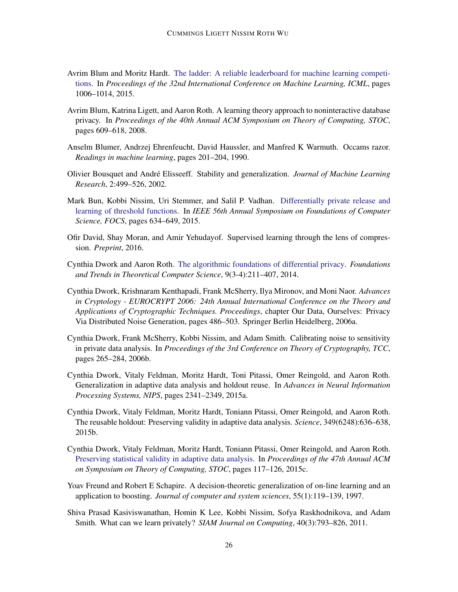- <span id="page-25-12"></span>Avrim Blum and Moritz Hardt. [The ladder: A reliable leaderboard for machine learning competi](http://jmlr.org/proceedings/papers/v37/blum15.html)[tions.](http://jmlr.org/proceedings/papers/v37/blum15.html) In *Proceedings of the 32nd International Conference on Machine Learning, ICML*, pages 1006–1014, 2015.
- <span id="page-25-11"></span>Avrim Blum, Katrina Ligett, and Aaron Roth. A learning theory approach to noninteractive database privacy. In *Proceedings of the 40th Annual ACM Symposium on Theory of Computing, STOC*, pages 609–618, 2008.
- <span id="page-25-6"></span>Anselm Blumer, Andrzej Ehrenfeucht, David Haussler, and Manfred K Warmuth. Occams razor. *Readings in machine learning*, pages 201–204, 1990.
- <span id="page-25-4"></span>Olivier Bousquet and Andre Elisseeff. Stability and generalization. ´ *Journal of Machine Learning Research*, 2:499–526, 2002.
- <span id="page-25-10"></span>Mark Bun, Kobbi Nissim, Uri Stemmer, and Salil P. Vadhan. [Differentially private release and](http://dx.doi.org/10.1109/FOCS.2015.45) [learning of threshold functions.](http://dx.doi.org/10.1109/FOCS.2015.45) In *IEEE 56th Annual Symposium on Foundations of Computer Science, FOCS*, pages 634–649, 2015.
- <span id="page-25-3"></span>Ofir David, Shay Moran, and Amir Yehudayof. Supervised learning through the lens of compression. *Preprint*, 2016.
- <span id="page-25-8"></span>Cynthia Dwork and Aaron Roth. [The algorithmic foundations of differential privacy.](http://dx.doi.org/10.1561/0400000042) *Foundations and Trends in Theoretical Computer Science*, 9(3-4):211–407, 2014.
- <span id="page-25-13"></span>Cynthia Dwork, Krishnaram Kenthapadi, Frank McSherry, Ilya Mironov, and Moni Naor. *Advances in Cryptology - EUROCRYPT 2006: 24th Annual International Conference on the Theory and Applications of Cryptographic Techniques. Proceedings*, chapter Our Data, Ourselves: Privacy Via Distributed Noise Generation, pages 486–503. Springer Berlin Heidelberg, 2006a.
- <span id="page-25-7"></span>Cynthia Dwork, Frank McSherry, Kobbi Nissim, and Adam Smith. Calibrating noise to sensitivity in private data analysis. In *Proceedings of the 3rd Conference on Theory of Cryptography, TCC*, pages 265–284, 2006b.
- <span id="page-25-2"></span>Cynthia Dwork, Vitaly Feldman, Moritz Hardt, Toni Pitassi, Omer Reingold, and Aaron Roth. Generalization in adaptive data analysis and holdout reuse. In *Advances in Neural Information Processing Systems, NIPS*, pages 2341–2349, 2015a.
- <span id="page-25-1"></span>Cynthia Dwork, Vitaly Feldman, Moritz Hardt, Toniann Pitassi, Omer Reingold, and Aaron Roth. The reusable holdout: Preserving validity in adaptive data analysis. *Science*, 349(6248):636–638, 2015b.
- <span id="page-25-0"></span>Cynthia Dwork, Vitaly Feldman, Moritz Hardt, Toniann Pitassi, Omer Reingold, and Aaron Roth. [Preserving statistical validity in adaptive data analysis.](http://doi.acm.org/10.1145/2746539.2746580) In *Proceedings of the 47th Annual ACM on Symposium on Theory of Computing, STOC*, pages 117–126, 2015c.
- <span id="page-25-5"></span>Yoav Freund and Robert E Schapire. A decision-theoretic generalization of on-line learning and an application to boosting. *Journal of computer and system sciences*, 55(1):119–139, 1997.
- <span id="page-25-9"></span>Shiva Prasad Kasiviswanathan, Homin K Lee, Kobbi Nissim, Sofya Raskhodnikova, and Adam Smith. What can we learn privately? *SIAM Journal on Computing*, 40(3):793–826, 2011.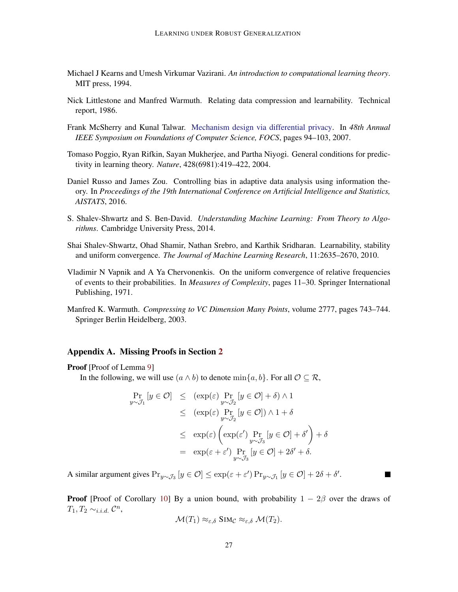- <span id="page-26-1"></span>Michael J Kearns and Umesh Virkumar Vazirani. *An introduction to computational learning theory*. MIT press, 1994.
- <span id="page-26-0"></span>Nick Littlestone and Manfred Warmuth. Relating data compression and learnability. Technical report, 1986.
- <span id="page-26-7"></span>Frank McSherry and Kunal Talwar. [Mechanism design via differential privacy.](http://dx.doi.org/10.1109/FOCS.2007.41) In *48th Annual IEEE Symposium on Foundations of Computer Science, FOCS*, pages 94–103, 2007.
- <span id="page-26-2"></span>Tomaso Poggio, Ryan Rifkin, Sayan Mukherjee, and Partha Niyogi. General conditions for predictivity in learning theory. *Nature*, 428(6981):419–422, 2004.
- <span id="page-26-6"></span>Daniel Russo and James Zou. Controlling bias in adaptive data analysis using information theory. In *Proceedings of the 19th International Conference on Artificial Intelligence and Statistics, AISTATS*, 2016.
- <span id="page-26-4"></span>S. Shalev-Shwartz and S. Ben-David. *Understanding Machine Learning: From Theory to Algorithms*. Cambridge University Press, 2014.
- <span id="page-26-3"></span>Shai Shalev-Shwartz, Ohad Shamir, Nathan Srebro, and Karthik Sridharan. Learnability, stability and uniform convergence. *The Journal of Machine Learning Research*, 11:2635–2670, 2010.
- <span id="page-26-8"></span>Vladimir N Vapnik and A Ya Chervonenkis. On the uniform convergence of relative frequencies of events to their probabilities. In *Measures of Complexity*, pages 11–30. Springer International Publishing, 1971.
- <span id="page-26-5"></span>Manfred K. Warmuth. *Compressing to VC Dimension Many Points*, volume 2777, pages 743–744. Springer Berlin Heidelberg, 2003.

#### <span id="page-26-9"></span>Appendix A. Missing Proofs in Section [2](#page-3-0)

# Proof [Proof of Lemma [9\]](#page-6-2)

In the following, we will use  $(a \wedge b)$  to denote  $\min\{a, b\}$ . For all  $\mathcal{O} \subseteq \mathcal{R}$ ,

$$
\Pr_{y \sim \mathcal{J}_1} [y \in \mathcal{O}] \le (\exp(\varepsilon) \Pr_{y \sim \mathcal{J}_2} [y \in \mathcal{O}] + \delta) \wedge 1
$$
  
\n
$$
\le (\exp(\varepsilon) \Pr_{y \sim \mathcal{J}_2} [y \in \mathcal{O}] ) \wedge 1 + \delta
$$
  
\n
$$
\le \exp(\varepsilon) \left( \exp(\varepsilon') \Pr_{y \sim \mathcal{J}_3} [y \in \mathcal{O}] + \delta' \right) + \delta
$$
  
\n
$$
= \exp(\varepsilon + \varepsilon') \Pr_{y \sim \mathcal{J}_3} [y \in \mathcal{O}] + 2\delta' + \delta.
$$

A similar argument gives  $Pr_{y \sim \mathcal{J}_3} [y \in \mathcal{O}] \le \exp(\varepsilon + \varepsilon') Pr_{y \sim \mathcal{J}_1} [y \in \mathcal{O}] + 2\delta + \delta'.$ 

**Proof** [Proof of Corollary [10\]](#page-6-1) By a union bound, with probability  $1 - 2\beta$  over the draws of  $T_1, T_2 \sim_{i.i.d.} C^n$ ,

**Contract** 

$$
\mathcal{M}(T_1)\approx_{\varepsilon,\delta} \text{Sim}_{\mathcal{C}}\approx_{\varepsilon,\delta} \mathcal{M}(T_2).
$$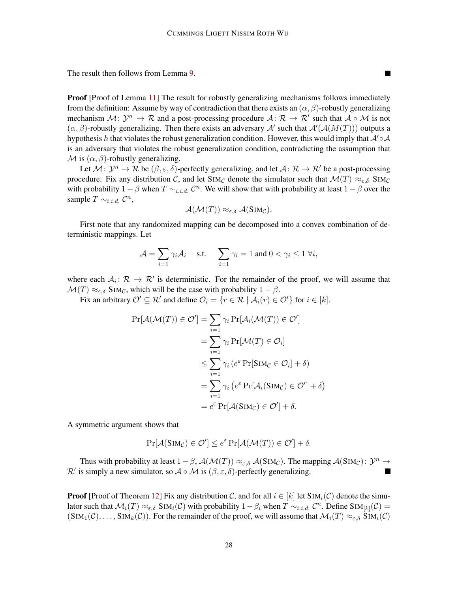П

The result then follows from Lemma [9.](#page-6-2)

**Proof** [Proof of Lemma [11\]](#page-7-2) The result for robustly generalizing mechanisms follows immediately from the definition: Assume by way of contradiction that there exists an  $(\alpha, \beta)$ -robustly generalizing mechanism  $\mathcal{M}: \mathcal{Y}^n \to \mathcal{R}$  and a post-processing procedure  $\mathcal{A}: \mathcal{R} \to \mathcal{R}'$  such that  $\mathcal{A} \circ \mathcal{M}$  is not  $(\alpha, \beta)$ -robustly generalizing. Then there exists an adversary A' such that  $\mathcal{A}'(\mathcal{A}(M(T)))$  outputs a hypothesis h that violates the robust generalization condition. However, this would imply that  $A' \circ A$ is an adversary that violates the robust generalization condition, contradicting the assumption that  $M$  is  $(\alpha, \beta)$ -robustly generalizing.

Let  $M: \mathcal{Y}^n \to \mathcal{R}$  be  $(\beta, \varepsilon, \delta)$ -perfectly generalizing, and let  $\mathcal{A}: \mathcal{R} \to \mathcal{R}'$  be a post-processing procedure. Fix any distribution C, and let SIMc denote the simulator such that  $\mathcal{M}(T) \approx_{\epsilon,\delta}$  SIMc with probability  $1 - \beta$  when  $T \sim_{i.i.d.} C^n$ . We will show that with probability at least  $1 - \beta$  over the sample  $T \sim_{i.i.d.} C^n$ ,

$$
\mathcal{A}(\mathcal{M}(T)) \approx_{\varepsilon,\delta} \mathcal{A}(\mathrm{Sim}_\mathcal{C}).
$$

First note that any randomized mapping can be decomposed into a convex combination of deterministic mappings. Let

$$
\mathcal{A} = \sum_{i=1} \gamma_i \mathcal{A}_i \quad \text{ s.t. } \quad \sum_{i=1} \gamma_i = 1 \text{ and } 0 < \gamma_i \leq 1 \; \forall i,
$$

where each  $A_i: \mathcal{R} \to \mathcal{R}'$  is deterministic. For the remainder of the proof, we will assume that  $\mathcal{M}(T) \approx_{\varepsilon,\delta} \text{SIM}_{\mathcal{C}}$ , which will be the case with probability  $1 - \beta$ .

Fix an arbitrary  $\mathcal{O}' \subseteq \mathcal{R}'$  and define  $\mathcal{O}_i = \{r \in \mathcal{R} \mid \mathcal{A}_i(r) \in \mathcal{O}'\}$  for  $i \in [k]$ .

$$
\Pr[\mathcal{A}(\mathcal{M}(T)) \in \mathcal{O}'] = \sum_{i=1}^{\gamma_i} \gamma_i \Pr[\mathcal{A}_i(\mathcal{M}(T)) \in \mathcal{O}']
$$
  
= 
$$
\sum_{i=1}^{\gamma_i} \gamma_i \Pr[\mathcal{M}(T) \in \mathcal{O}_i]
$$
  

$$
\leq \sum_{i=1}^{\gamma_i} \gamma_i (e^{\varepsilon} \Pr[\text{SIM}_{\mathcal{C}} \in \mathcal{O}_i] + \delta)
$$
  
= 
$$
\sum_{i=1}^{\gamma_i} \gamma_i (e^{\varepsilon} \Pr[\mathcal{A}_i(\text{SIM}_{\mathcal{C}}) \in \mathcal{O}'] + \delta)
$$
  
= 
$$
e^{\varepsilon} \Pr[\mathcal{A}(\text{SIM}_{\mathcal{C}}) \in \mathcal{O}'] + \delta.
$$

A symmetric argument shows that

$$
\Pr[\mathcal{A}(\text{SIM}_\mathcal{C}) \in \mathcal{O}'] \le e^{\varepsilon} \Pr[\mathcal{A}(\mathcal{M}(T)) \in \mathcal{O}'] + \delta.
$$

Thus with probability at least  $1-\beta$ ,  $\mathcal{A}(\mathcal{M}(T)) \approx_{\varepsilon,\delta} \mathcal{A}(\text{SIM}_\mathcal{C})$ . The mapping  $\mathcal{A}(\text{SIM}_\mathcal{C})$ :  $\mathcal{Y}^n \to$  $\mathcal{R}'$  is simply a new simulator, so  $\mathcal{A} \circ \mathcal{M}$  is  $(\beta, \varepsilon, \delta)$ -perfectly generalizing.

**Proof** [Proof of Theorem [12\]](#page-7-0) Fix any distribution C, and for all  $i \in [k]$  let  $\text{SIM}_i(\mathcal{C})$  denote the simulator such that  $\mathcal{M}_i(T) \approx_{\varepsilon, \delta} \text{SIM}_i(\mathcal{C})$  with probability  $1 - \beta_i$  when  $T \sim_{i.i.d.} \mathcal{C}^n$ . Define SIM $_{[k]}(\mathcal{C}) =$  $(SIM_1(\mathcal{C}), \ldots, SIM_k(\mathcal{C}))$ . For the remainder of the proof, we will assume that  $\mathcal{M}_i(T) \approx_{\varepsilon, \delta} SIM_i(\mathcal{C})$